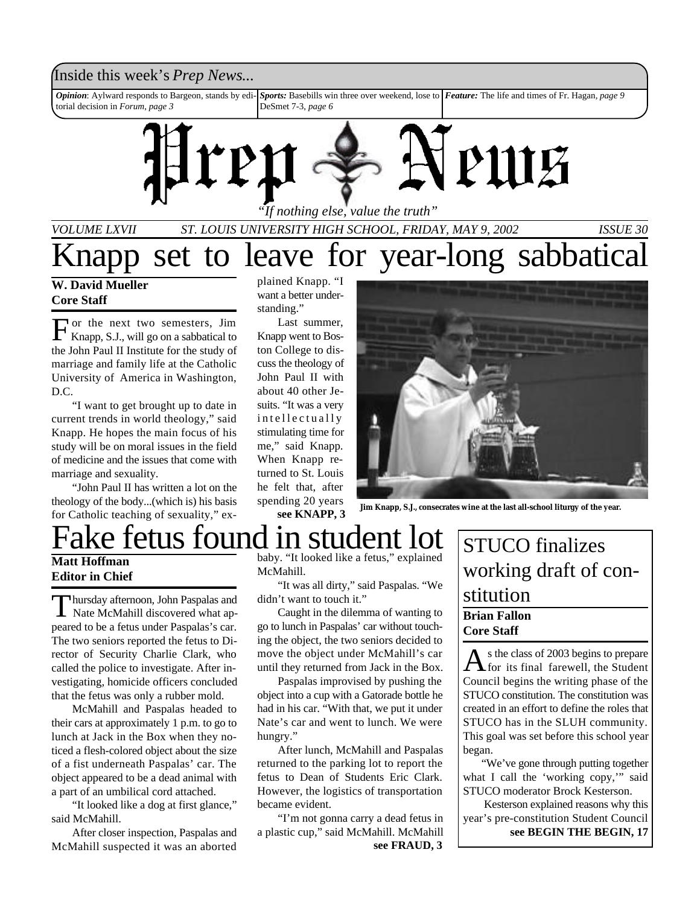## Inside this week's *Prep News*...

*Opinion*: Aylward responds to Bargeon, stands by editorial decision in *Forum*, *page 3 Sports:* Basebills win three over weekend, lose to *Feature:* The life and times of Fr. Hagan, *page 9* DeSmet 7-3, *page 6*



*"If nothing else, value the truth"*

*VOLUME LXVII ST. LOUIS UNIVERSITY HIGH SCHOOL, FRIDAY, MAY 9, 2002 ISSUE 30*

## **W. David Mueller Core Staff**

F or the next two semesters, Jim Knapp, S.J., will go on a sabbatical to the John Paul II Institute for the study of marriage and family life at the Catholic University of America in Washington, D.C.

"I want to get brought up to date in current trends in world theology," said Knapp. He hopes the main focus of his study will be on moral issues in the field of medicine and the issues that come with marriage and sexuality.

"John Paul II has written a lot on the theology of the body...(which is) his basis for Catholic teaching of sexuality," ex-

Thursday afternoon, John Paspalas and<br>
Nate McMahill discovered what aphursday afternoon, John Paspalas and

peared to be a fetus under Paspalas's car. The two seniors reported the fetus to Director of Security Charlie Clark, who called the police to investigate. After investigating, homicide officers concluded that the fetus was only a rubber mold. McMahill and Paspalas headed to their cars at approximately 1 p.m. to go to lunch at Jack in the Box when they noticed a flesh-colored object about the size of a fist underneath Paspalas' car. The object appeared to be a dead animal with a part of an umbilical cord attached.

"It looked like a dog at first glance,"

After closer inspection, Paspalas and McMahill suspected it was an aborted

**Editor in Chief**

said McMahill.

plained Knapp. "I want a better understanding."

Last summer, Knapp went to Boston College to discuss the theology of John Paul II with about 40 other Jesuits. "It was a very intellectually stimulating time for me," said Knapp. When Knapp returned to St. Louis he felt that, after spending 20 years **see KNAPP, 3**



**Jim Knapp, S.J., consecrates wine at the last all-school liturgy of the year.**

## ake fetus found in student lot **Matt Hoffman**

baby. "It looked like a fetus," explained McMahill.

"It was all dirty," said Paspalas. "We didn't want to touch it."

Caught in the dilemma of wanting to go to lunch in Paspalas' car without touching the object, the two seniors decided to move the object under McMahill's car until they returned from Jack in the Box.

Paspalas improvised by pushing the object into a cup with a Gatorade bottle he had in his car. "With that, we put it under Nate's car and went to lunch. We were hungry."

After lunch, McMahill and Paspalas returned to the parking lot to report the fetus to Dean of Students Eric Clark. However, the logistics of transportation became evident.

"I'm not gonna carry a dead fetus in a plastic cup," said McMahill. McMahill **see FRAUD, 3**

## STUCO finalizes working draft of constitution

**Brian Fallon Core Staff** 

As the class of 2003 begins to prepare<br>for its final farewell, the Student s the class of 2003 begins to prepare Council begins the writing phase of the STUCO constitution. The constitution was created in an effort to define the roles that STUCO has in the SLUH community. This goal was set before this school year began.

 "We've gone through putting together what I call the 'working copy,'" said STUCO moderator Brock Kesterson.

 Kesterson explained reasons why this year's pre-constitution Student Council **see BEGIN THE BEGIN, 17**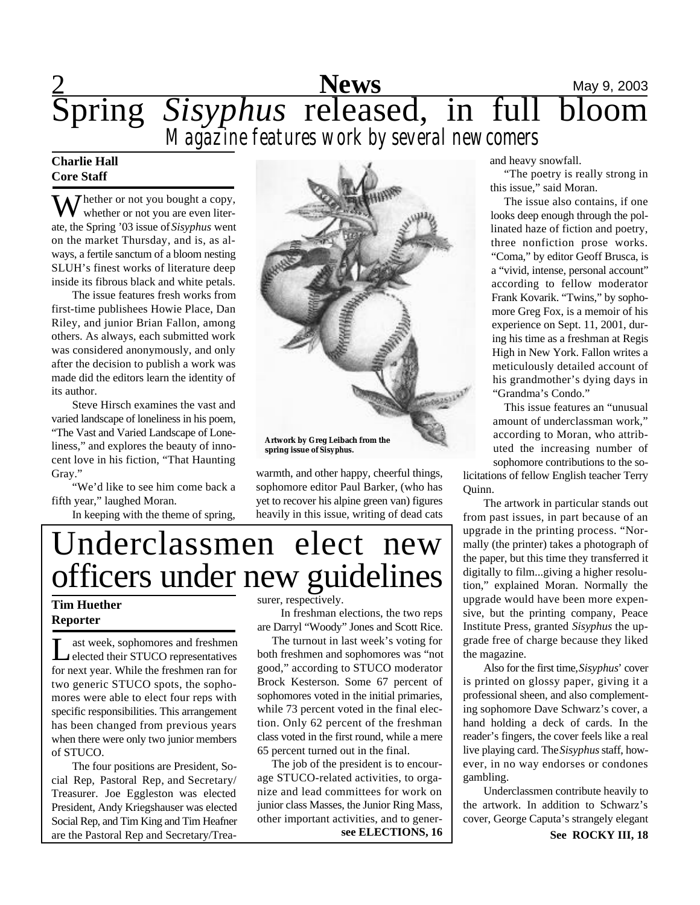

## **Charlie Hall Core Staff**

 $\sum$  hether or not you bought a copy, whether or not you are even literate, the Spring '03 issue of *Sisyphus* went on the market Thursday, and is, as always, a fertile sanctum of a bloom nesting SLUH's finest works of literature deep inside its fibrous black and white petals.

The issue features fresh works from first-time publishees Howie Place, Dan Riley, and junior Brian Fallon, among others. As always, each submitted work was considered anonymously, and only after the decision to publish a work was made did the editors learn the identity of its author.

Steve Hirsch examines the vast and varied landscape of loneliness in his poem, "The Vast and Varied Landscape of Loneliness," and explores the beauty of innocent love in his fiction, "That Haunting Gray."

"We'd like to see him come back a fifth year," laughed Moran.

In keeping with the theme of spring,



warmth, and other happy, cheerful things, sophomore editor Paul Barker, (who has yet to recover his alpine green van) figures heavily in this issue, writing of dead cats

# Underclassmen elect new officers under new guidelines

## **Tim Huether Reporter**

Let week, sophomores and freshmen<br>
elected their STUCO representatives ast week, sophomores and freshmen for next year. While the freshmen ran for two generic STUCO spots, the sophomores were able to elect four reps with specific responsibilities. This arrangement has been changed from previous years when there were only two junior members of STUCO.

The four positions are President, Social Rep, Pastoral Rep, and Secretary/ Treasurer. Joe Eggleston was elected President, Andy Kriegshauser was elected Social Rep, and Tim King and Tim Heafner are the Pastoral Rep and Secretary/Treasurer, respectively.

 In freshman elections, the two reps are Darryl "Woody" Jones and Scott Rice.

 The turnout in last week's voting for both freshmen and sophomores was "not good," according to STUCO moderator Brock Kesterson. Some 67 percent of sophomores voted in the initial primaries, while 73 percent voted in the final election. Only 62 percent of the freshman class voted in the first round, while a mere 65 percent turned out in the final.

 The job of the president is to encourage STUCO-related activities, to organize and lead committees for work on junior class Masses, the Junior Ring Mass, other important activities, and to generand heavy snowfall.

"The poetry is really strong in this issue," said Moran.

The issue also contains, if one looks deep enough through the pollinated haze of fiction and poetry, three nonfiction prose works. "Coma," by editor Geoff Brusca, is a "vivid, intense, personal account" according to fellow moderator Frank Kovarik. "Twins," by sophomore Greg Fox, is a memoir of his experience on Sept. 11, 2001, during his time as a freshman at Regis High in New York. Fallon writes a meticulously detailed account of his grandmother's dying days in "Grandma's Condo."

This issue features an "unusual amount of underclassman work," according to Moran, who attributed the increasing number of sophomore contributions to the so-

licitations of fellow English teacher Terry Quinn.

The artwork in particular stands out from past issues, in part because of an upgrade in the printing process. "Normally (the printer) takes a photograph of the paper, but this time they transferred it digitally to film...giving a higher resolution," explained Moran. Normally the upgrade would have been more expensive, but the printing company, Peace Institute Press, granted *Sisyphus* the upgrade free of charge because they liked the magazine.

Also for the first time, *Sisyphus*' cover is printed on glossy paper, giving it a professional sheen, and also complementing sophomore Dave Schwarz's cover, a hand holding a deck of cards. In the reader's fingers, the cover feels like a real live playing card. The *Sisyphus* staff, however, in no way endorses or condones gambling.

Underclassmen contribute heavily to the artwork. In addition to Schwarz's cover, George Caputa's strangely elegant

**see ELECTIONS, 16 See ROCKY III, 18**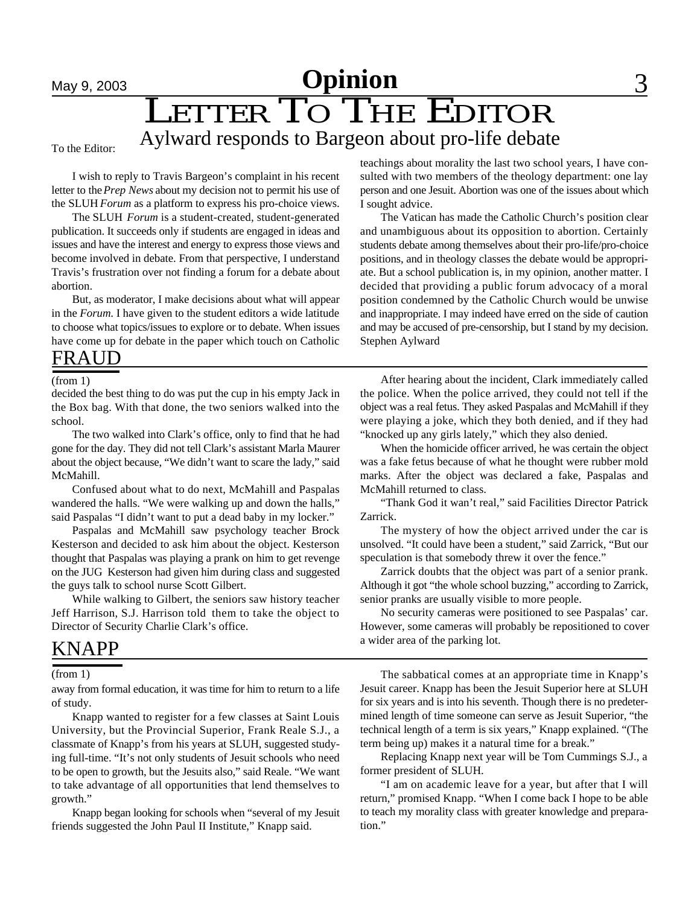# **May 9, 2003 Opinion** 3 LETTER TO THE EDITOR Aylward responds to Bargeon about pro-life debate

#### To the Editor:

I wish to reply to Travis Bargeon's complaint in his recent letter to the *Prep News* about my decision not to permit his use of the SLUH *Forum* as a platform to express his pro-choice views.

The SLUH *Forum* is a student-created, student-generated publication. It succeeds only if students are engaged in ideas and issues and have the interest and energy to express those views and become involved in debate. From that perspective, I understand Travis's frustration over not finding a forum for a debate about abortion.

But, as moderator, I make decisions about what will appear in the *Forum*. I have given to the student editors a wide latitude to choose what topics/issues to explore or to debate. When issues have come up for debate in the paper which touch on Catholic

## FRAUD

decided the best thing to do was put the cup in his empty Jack in the Box bag. With that done, the two seniors walked into the school.

The two walked into Clark's office, only to find that he had gone for the day. They did not tell Clark's assistant Marla Maurer about the object because, "We didn't want to scare the lady," said McMahill.

Confused about what to do next, McMahill and Paspalas wandered the halls. "We were walking up and down the halls," said Paspalas "I didn't want to put a dead baby in my locker."

Paspalas and McMahill saw psychology teacher Brock Kesterson and decided to ask him about the object. Kesterson thought that Paspalas was playing a prank on him to get revenge on the JUG Kesterson had given him during class and suggested the guys talk to school nurse Scott Gilbert.

While walking to Gilbert, the seniors saw history teacher Jeff Harrison, S.J. Harrison told them to take the object to Director of Security Charlie Clark's office.

## KNAPP

away from formal education, it was time for him to return to a life of study.

Knapp wanted to register for a few classes at Saint Louis University, but the Provincial Superior, Frank Reale S.J., a classmate of Knapp's from his years at SLUH, suggested studying full-time. "It's not only students of Jesuit schools who need to be open to growth, but the Jesuits also," said Reale. "We want to take advantage of all opportunities that lend themselves to growth."

Knapp began looking for schools when "several of my Jesuit friends suggested the John Paul II Institute," Knapp said.

teachings about morality the last two school years, I have consulted with two members of the theology department: one lay person and one Jesuit. Abortion was one of the issues about which I sought advice.

The Vatican has made the Catholic Church's position clear and unambiguous about its opposition to abortion. Certainly students debate among themselves about their pro-life/pro-choice positions, and in theology classes the debate would be appropriate. But a school publication is, in my opinion, another matter. I decided that providing a public forum advocacy of a moral position condemned by the Catholic Church would be unwise and inappropriate. I may indeed have erred on the side of caution and may be accused of pre-censorship, but I stand by my decision. Stephen Aylward

(from 1) After hearing about the incident, Clark immediately called the police. When the police arrived, they could not tell if the object was a real fetus. They asked Paspalas and McMahill if they were playing a joke, which they both denied, and if they had "knocked up any girls lately," which they also denied.

> When the homicide officer arrived, he was certain the object was a fake fetus because of what he thought were rubber mold marks. After the object was declared a fake, Paspalas and McMahill returned to class.

> "Thank God it wan't real," said Facilities Director Patrick Zarrick.

> The mystery of how the object arrived under the car is unsolved. "It could have been a student," said Zarrick, "But our speculation is that somebody threw it over the fence."

> Zarrick doubts that the object was part of a senior prank. Although it got "the whole school buzzing," according to Zarrick, senior pranks are usually visible to more people.

> No security cameras were positioned to see Paspalas' car. However, some cameras will probably be repositioned to cover a wider area of the parking lot.

(from 1) The sabbatical comes at an appropriate time in Knapp's Jesuit career. Knapp has been the Jesuit Superior here at SLUH for six years and is into his seventh. Though there is no predetermined length of time someone can serve as Jesuit Superior, "the technical length of a term is six years," Knapp explained. "(The term being up) makes it a natural time for a break."

> Replacing Knapp next year will be Tom Cummings S.J., a former president of SLUH.

> "I am on academic leave for a year, but after that I will return," promised Knapp. "When I come back I hope to be able to teach my morality class with greater knowledge and preparation."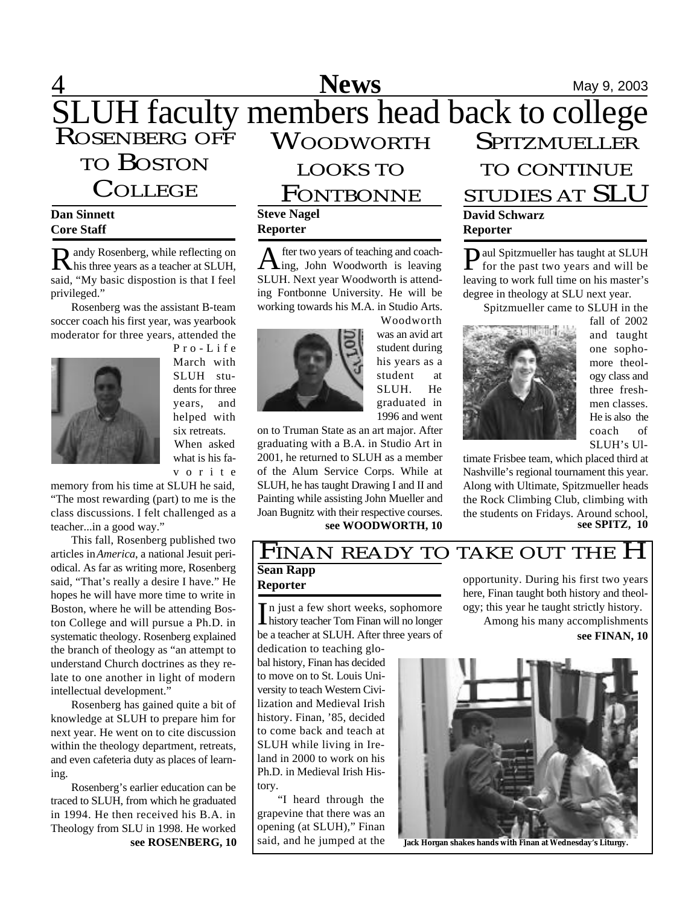#### **4** Mews May 9, 2003 SLUH faculty members head back to college ROSENBERG OFF TO BOSTON **COLLEGE** WOODWORTH LOOKS TO **FONTBONNE SPITZMUELLER** TO CONTINUE STUDIES AT SLU

## **Dan Sinnett Core Staff**

R andy Rosenberg, while reflecting on R his three years as a teacher at SLUH, andy Rosenberg, while reflecting on said, "My basic dispostion is that I feel privileged."

Rosenberg was the assistant B-team soccer coach his first year, was yearbook moderator for three years, attended the



P r o - L i f e March with SLUH students for three years, and helped with six retreats. When asked what is his fav o r i t e

memory from his time at SLUH he said, "The most rewarding (part) to me is the class discussions. I felt challenged as a teacher...in a good way."

This fall, Rosenberg published two articles in *America*, a national Jesuit periodical. As far as writing more, Rosenberg said, "That's really a desire I have." He hopes he will have more time to write in Boston, where he will be attending Boston College and will pursue a Ph.D. in systematic theology. Rosenberg explained the branch of theology as "an attempt to understand Church doctrines as they relate to one another in light of modern intellectual development."

Rosenberg has gained quite a bit of knowledge at SLUH to prepare him for next year. He went on to cite discussion within the theology department, retreats, and even cafeteria duty as places of learning.

Rosenberg's earlier education can be traced to SLUH, from which he graduated in 1994. He then received his B.A. in Theology from SLU in 1998. He worked

## **Steve Nagel Reporter**

A fter two years of teaching and coaching, John Woodworth is leaving fter two years of teaching and coach-SLUH. Next year Woodworth is attending Fontbonne University. He will be working towards his M.A. in Studio Arts.



Woodworth was an avid art student during his years as a student at SLUH. He graduated in 1996 and went

on to Truman State as an art major. After graduating with a B.A. in Studio Art in 2001, he returned to SLUH as a member of the Alum Service Corps. While at SLUH, he has taught Drawing I and II and Painting while assisting John Mueller and Joan Bugnitz with their respective courses.  $see WOODWORTH, 10$ 

**David Schwarz Reporter**

**P** aul Spitzmueller has taught at SLUH<br>for the past two years and will be for the past two years and will be leaving to work full time on his master's degree in theology at SLU next year.

Spitzmueller came to SLUH in the



fall of 2002 and taught one sophomore theology class and three freshmen classes. He is also the coach of SLUH's Ul-

timate Frisbee team, which placed third at Nashville's regional tournament this year. Along with Ultimate, Spitzmueller heads the Rock Climbing Club, climbing with the students on Fridays. Around school,<br>see SPITZ, 10

## **Sean Rapp** FINAN READY TO TAKE OUT THE H

## **Reporter**

In just a few short weeks, sophomore<br>history teacher Tom Finan will no longer In just a few short weeks, sophomore be a teacher at SLUH. After three years of

dedication to teaching global history, Finan has decided to move on to St. Louis University to teach Western Civilization and Medieval Irish history. Finan, '85, decided to come back and teach at SLUH while living in Ireland in 2000 to work on his Ph.D. in Medieval Irish History.

"I heard through the grapevine that there was an opening (at SLUH)," Finan said, and he jumped at the

opportunity. During his first two years here, Finan taught both history and theology; this year he taught strictly history. Among his many accomplishments

**see FINAN, 10**



**see ROSENBERG, 10** said, and he jumped at the Jack Horgan shakes hands with Finan at Wednesday's Liturgy.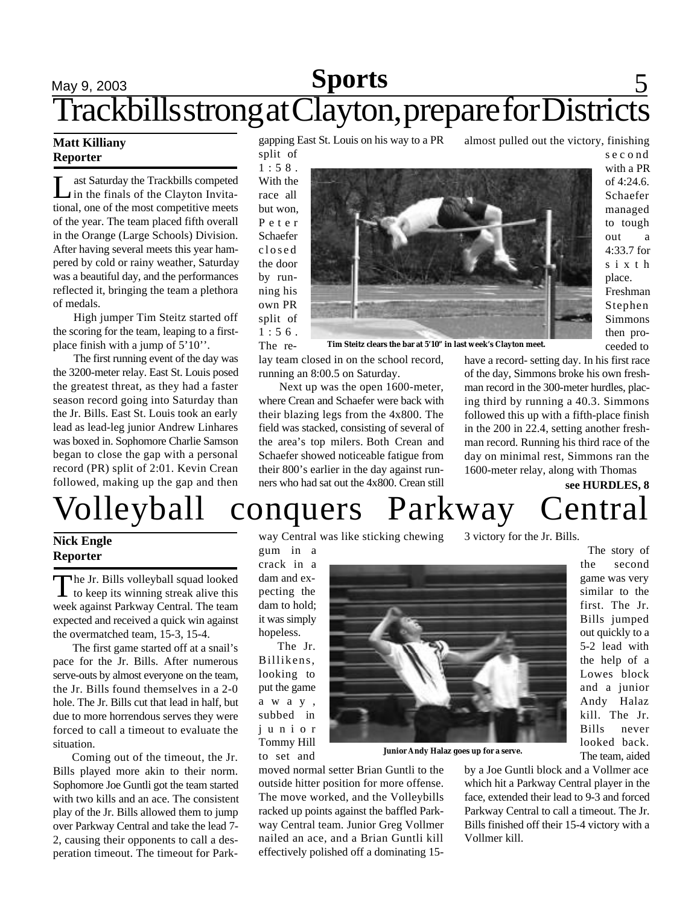# **Sports** 5 Trackbills strong at Clayton, prepare for Districts

## **Matt Killiany Reporter**

L ast Saturday the Trackbills competed in the finals of the Clayton Invitational, one of the most competitive meets of the year. The team placed fifth overall in the Orange (Large Schools) Division. After having several meets this year hampered by cold or rainy weather, Saturday was a beautiful day, and the performances reflected it, bringing the team a plethora of medals.

High jumper Tim Steitz started off the scoring for the team, leaping to a firstplace finish with a jump of 5'10''.

The first running event of the day was the 3200-meter relay. East St. Louis posed the greatest threat, as they had a faster season record going into Saturday than the Jr. Bills. East St. Louis took an early lead as lead-leg junior Andrew Linhares was boxed in. Sophomore Charlie Samson began to close the gap with a personal record (PR) split of 2:01. Kevin Crean followed, making up the gap and then

gapping East St. Louis on his way to a PR

split of

 $1:58$ . With the race all but won, P e t e r Schaefer closed the door by running his own PR split of  $1:56$ . The re-



**Tim Steitz clears the bar at 5'10" in last week's Clayton meet.**

lay team closed in on the school record, running an 8:00.5 on Saturday.

Next up was the open 1600-meter, where Crean and Schaefer were back with their blazing legs from the 4x800. The field was stacked, consisting of several of the area's top milers. Both Crean and Schaefer showed noticeable fatigue from their 800's earlier in the day against runners who had sat out the 4x800. Crean still

have a record- setting day. In his first race of the day, Simmons broke his own freshman record in the 300-meter hurdles, placing third by running a 40.3. Simmons followed this up with a fifth-place finish in the 200 in 22.4, setting another freshman record. Running his third race of the day on minimal rest, Simmons ran the 1600-meter relay, along with Thomas

almost pulled out the victory, finishing

s e c o nd with a PR of 4:24.6. Schaefer managed to tough out a 4:33.7 for s i x t h place. Freshman Stephen Simmons then proceeded to

**see HURDLES, 8**

# Volleyball conquers Parkway Central

## **Nick Engle Reporter**

The Jr. Bills volleyball squad looked<br>to keep its winning streak alive this he Jr. Bills volleyball squad looked week against Parkway Central. The team expected and received a quick win against the overmatched team, 15-3, 15-4.

 The first game started off at a snail's pace for the Jr. Bills. After numerous serve-outs by almost everyone on the team, the Jr. Bills found themselves in a 2-0 hole. The Jr. Bills cut that lead in half, but due to more horrendous serves they were forced to call a timeout to evaluate the situation.

 Coming out of the timeout, the Jr. Bills played more akin to their norm. Sophomore Joe Guntli got the team started with two kills and an ace. The consistent play of the Jr. Bills allowed them to jump over Parkway Central and take the lead 7- 2, causing their opponents to call a desperation timeout. The timeout for Parkway Central was like sticking chewing

gum in a crack in a dam and expecting the dam to hold; it was simply hopeless.

The Jr. Billikens, looking to put the game a w a y , subbed in j u n i o r Tommy Hill to set and

moved normal setter Brian Guntli to the outside hitter position for more offense. The move worked, and the Volleybills racked up points against the baffled Parkway Central team. Junior Greg Vollmer nailed an ace, and a Brian Guntli kill effectively polished off a dominating 15-

3 victory for the Jr. Bills.

**Junior Andy Halaz goes up for a serve.**

by a Joe Guntli block and a Vollmer ace which hit a Parkway Central player in the face, extended their lead to 9-3 and forced Parkway Central to call a timeout. The Jr. Bills finished off their 15-4 victory with a Vollmer kill.

The story of the second

game was very similar to the first. The Jr. Bills jumped out quickly to a 5-2 lead with the help of a Lowes block and a junior Andy Halaz kill. The Jr. Bills never looked back.

The team, aided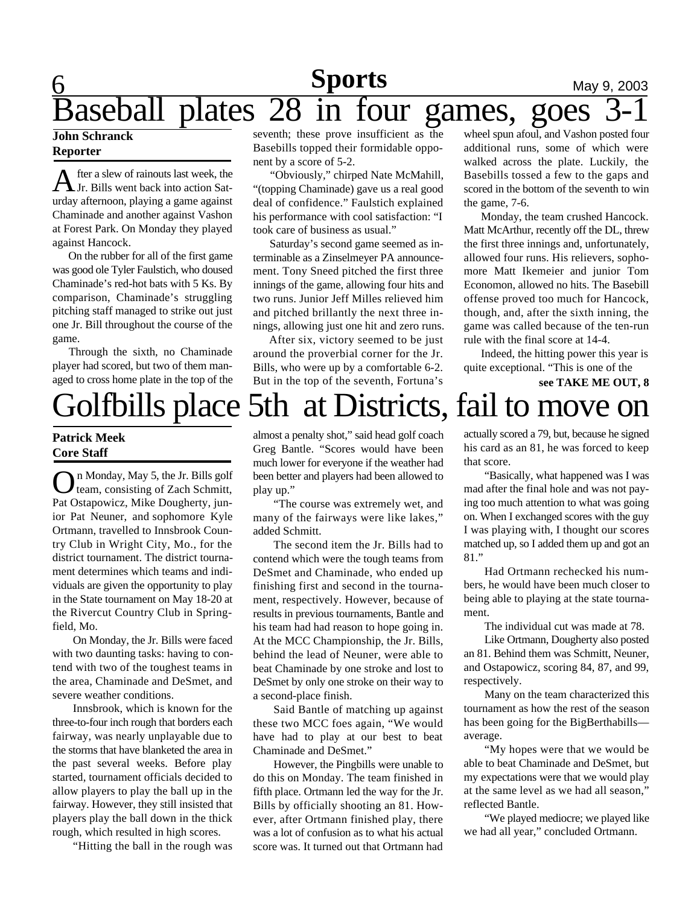## $\underbrace{6}$  May 9, 2003 Baseball plates 28 in four games, goes 3-1 **Sports**

### **John Schranck Reporter**

A fter a slew of rainouts last week, the Jr. Bills went back into action Saturday afternoon, playing a game against Chaminade and another against Vashon at Forest Park. On Monday they played against Hancock.

 On the rubber for all of the first game was good ole Tyler Faulstich, who doused Chaminade's red-hot bats with 5 Ks. By comparison, Chaminade's struggling pitching staff managed to strike out just one Jr. Bill throughout the course of the game.

Through the sixth, no Chaminade player had scored, but two of them managed to cross home plate in the top of the seventh; these prove insufficient as the Basebills topped their formidable opponent by a score of 5-2.

 "Obviously," chirped Nate McMahill, "(topping Chaminade) gave us a real good deal of confidence." Faulstich explained his performance with cool satisfaction: "I took care of business as usual."

 Saturday's second game seemed as interminable as a Zinselmeyer PA announcement. Tony Sneed pitched the first three innings of the game, allowing four hits and two runs. Junior Jeff Milles relieved him and pitched brillantly the next three innings, allowing just one hit and zero runs.

 After six, victory seemed to be just around the proverbial corner for the Jr. Bills, who were up by a comfortable 6-2. But in the top of the seventh, Fortuna's wheel spun afoul, and Vashon posted four additional runs, some of which were walked across the plate. Luckily, the Basebills tossed a few to the gaps and scored in the bottom of the seventh to win the game, 7-6.

 Monday, the team crushed Hancock. Matt McArthur, recently off the DL, threw the first three innings and, unfortunately, allowed four runs. His relievers, sophomore Matt Ikemeier and junior Tom Economon, allowed no hits. The Basebill offense proved too much for Hancock, though, and, after the sixth inning, the game was called because of the ten-run rule with the final score at 14-4.

 Indeed, the hitting power this year is quite exceptional. "This is one of the

Golfbills place 5th at Districts, fail to move on  **see TAKE ME OUT, 8**

## **Patrick Meek Core Staff**

O n Monday, May 5, the Jr. Bills golf team, consisting of Zach Schmitt, Pat Ostapowicz, Mike Dougherty, junior Pat Neuner, and sophomore Kyle Ortmann, travelled to Innsbrook Country Club in Wright City, Mo., for the district tournament. The district tournament determines which teams and individuals are given the opportunity to play in the State tournament on May 18-20 at the Rivercut Country Club in Springfield, Mo.

On Monday, the Jr. Bills were faced with two daunting tasks: having to contend with two of the toughest teams in the area, Chaminade and DeSmet, and severe weather conditions.

Innsbrook, which is known for the three-to-four inch rough that borders each fairway, was nearly unplayable due to the storms that have blanketed the area in the past several weeks. Before play started, tournament officials decided to allow players to play the ball up in the fairway. However, they still insisted that players play the ball down in the thick rough, which resulted in high scores.

"Hitting the ball in the rough was

almost a penalty shot," said head golf coach Greg Bantle. "Scores would have been much lower for everyone if the weather had been better and players had been allowed to play up."

"The course was extremely wet, and many of the fairways were like lakes," added Schmitt.

The second item the Jr. Bills had to contend which were the tough teams from DeSmet and Chaminade, who ended up finishing first and second in the tournament, respectively. However, because of results in previous tournaments, Bantle and his team had had reason to hope going in. At the MCC Championship, the Jr. Bills, behind the lead of Neuner, were able to beat Chaminade by one stroke and lost to DeSmet by only one stroke on their way to a second-place finish.

Said Bantle of matching up against these two MCC foes again, "We would have had to play at our best to beat Chaminade and DeSmet."

However, the Pingbills were unable to do this on Monday. The team finished in fifth place. Ortmann led the way for the Jr. Bills by officially shooting an 81. However, after Ortmann finished play, there was a lot of confusion as to what his actual score was. It turned out that Ortmann had

actually scored a 79, but, because he signed his card as an 81, he was forced to keep that score.

"Basically, what happened was I was mad after the final hole and was not paying too much attention to what was going on. When I exchanged scores with the guy I was playing with, I thought our scores matched up, so I added them up and got an 81."

Had Ortmann rechecked his numbers, he would have been much closer to being able to playing at the state tournament.

The individual cut was made at 78.

Like Ortmann, Dougherty also posted an 81. Behind them was Schmitt, Neuner, and Ostapowicz, scoring 84, 87, and 99, respectively.

Many on the team characterized this tournament as how the rest of the season has been going for the BigBerthabills average.

"My hopes were that we would be able to beat Chaminade and DeSmet, but my expectations were that we would play at the same level as we had all season," reflected Bantle.

"We played mediocre; we played like we had all year," concluded Ortmann.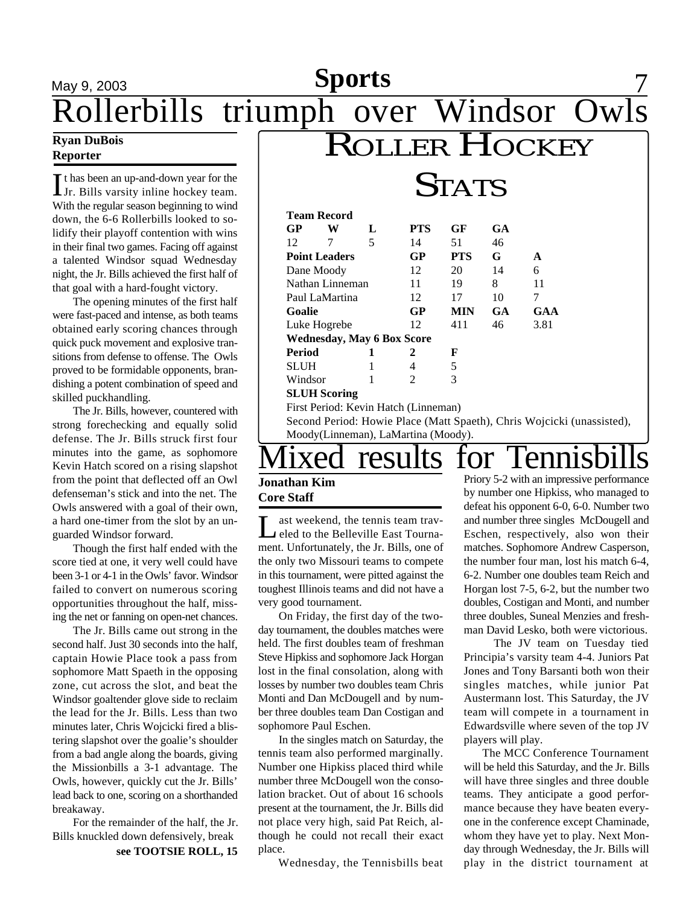## May 9, 2003 **Sports** 7 **Sports**

Rollerbills triumph over Windsor Owls

## **Ryan DuBois Reporter**

If thas been an up-and-down year for the Jr. Bills varsity inline hockey team. If thas been an up-and-down year for the With the regular season beginning to wind down, the 6-6 Rollerbills looked to solidify their playoff contention with wins in their final two games. Facing off against a talented Windsor squad Wednesday night, the Jr. Bills achieved the first half of that goal with a hard-fought victory.

The opening minutes of the first half were fast-paced and intense, as both teams obtained early scoring chances through quick puck movement and explosive transitions from defense to offense. The Owls proved to be formidable opponents, brandishing a potent combination of speed and skilled puckhandling.

The Jr. Bills, however, countered with strong forechecking and equally solid defense. The Jr. Bills struck first four minutes into the game, as sophomore Kevin Hatch scored on a rising slapshot from the point that deflected off an Owl defenseman's stick and into the net. The Owls answered with a goal of their own, a hard one-timer from the slot by an unguarded Windsor forward.

Though the first half ended with the score tied at one, it very well could have been 3-1 or 4-1 in the Owls' favor. Windsor failed to convert on numerous scoring opportunities throughout the half, missing the net or fanning on open-net chances.

The Jr. Bills came out strong in the second half. Just 30 seconds into the half, captain Howie Place took a pass from sophomore Matt Spaeth in the opposing zone, cut across the slot, and beat the Windsor goaltender glove side to reclaim the lead for the Jr. Bills. Less than two minutes later, Chris Wojcicki fired a blistering slapshot over the goalie's shoulder from a bad angle along the boards, giving the Missionbills a 3-1 advantage. The Owls, however, quickly cut the Jr. Bills' lead back to one, scoring on a shorthanded breakaway.

For the remainder of the half, the Jr. Bills knuckled down defensively, break

**see TOOTSIE ROLL, 15**

|                            |                    | 1A1S                              |            |            |           |      |
|----------------------------|--------------------|-----------------------------------|------------|------------|-----------|------|
|                            | <b>Team Record</b> |                                   |            |            |           |      |
| GP                         | W                  | L                                 | <b>PTS</b> | GF         | <b>GA</b> |      |
| 12                         | 7                  | 5                                 | 14         | 51         | 46        |      |
| GP<br><b>Point Leaders</b> |                    |                                   |            | <b>PTS</b> | G         | A    |
| Dane Moody                 |                    |                                   | 12         | 20         | 14        | 6    |
| Nathan Linneman            |                    |                                   | 11         | 19         | 8         | 11   |
| Paul LaMartina             |                    |                                   | 12         | 17         | 10        | 7    |
| Goalie                     |                    |                                   | GP         | <b>MIN</b> | <b>GA</b> | GAA  |
| Luke Hogrebe               |                    |                                   | 12         | 411        | 46        | 3.81 |
|                            |                    | <b>Wednesday, May 6 Box Score</b> |            |            |           |      |
| Period                     |                    |                                   | 2          | F          |           |      |
| <b>SLUH</b>                |                    |                                   | 4          | 5          |           |      |
| Windsor                    |                    |                                   |            |            |           |      |

ROLLER HOCKEY

 **a**  $**TC**$ 

**SLUH Scoring**

First Period: Kevin Hatch (Linneman)

Second Period: Howie Place (Matt Spaeth), Chris Wojcicki (unassisted), Moody(Linneman), LaMartina (Moody).

# ixed results for Tennisb

## **Jonathan Kim Core Staff**

Let us the Belleville East Tourna-<br>
Let us the Belleville East Tournaast weekend, the tennis team travment. Unfortunately, the Jr. Bills, one of the only two Missouri teams to compete in this tournament, were pitted against the toughest Illinois teams and did not have a very good tournament.

On Friday, the first day of the twoday tournament, the doubles matches were held. The first doubles team of freshman Steve Hipkiss and sophomore Jack Horgan lost in the final consolation, along with losses by number two doubles team Chris Monti and Dan McDougell and by number three doubles team Dan Costigan and sophomore Paul Eschen.

In the singles match on Saturday, the tennis team also performed marginally. Number one Hipkiss placed third while number three McDougell won the consolation bracket. Out of about 16 schools present at the tournament, the Jr. Bills did not place very high, said Pat Reich, although he could not recall their exact place.

Wednesday, the Tennisbills beat

Priory 5-2 with an impressive performance by number one Hipkiss, who managed to defeat his opponent 6-0, 6-0. Number two and number three singles McDougell and Eschen, respectively, also won their matches. Sophomore Andrew Casperson, the number four man, lost his match 6-4, 6-2. Number one doubles team Reich and Horgan lost 7-5, 6-2, but the number two doubles, Costigan and Monti, and number three doubles, Suneal Menzies and freshman David Lesko, both were victorious.

The JV team on Tuesday tied Principia's varsity team 4-4. Juniors Pat Jones and Tony Barsanti both won their singles matches, while junior Pat Austermann lost. This Saturday, the JV team will compete in a tournament in Edwardsville where seven of the top JV players will play.

 The MCC Conference Tournament will be held this Saturday, and the Jr. Bills will have three singles and three double teams. They anticipate a good performance because they have beaten everyone in the conference except Chaminade, whom they have yet to play. Next Monday through Wednesday, the Jr. Bills will play in the district tournament at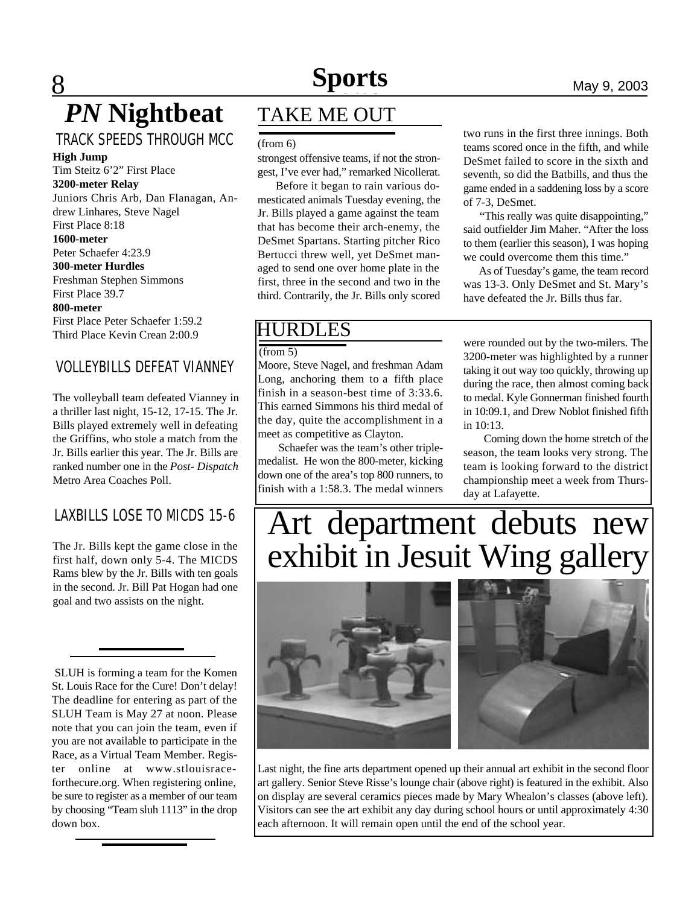# **Sports**

# **8 News News News May 9, 2003** *PN* **Nightbeat**

## TRACK SPEEDS THROUGH MCC **High Jump**

Tim Steitz 6'2" First Place **3200-meter Relay**

Juniors Chris Arb, Dan Flanagan, Andrew Linhares, Steve Nagel First Place 8:18 **1600-meter** Peter Schaefer 4:23.9 **300-meter Hurdles** Freshman Stephen Simmons First Place 39.7

#### **800-meter**

First Place Peter Schaefer 1:59.2 Third Place Kevin Crean 2:00.9

## VOLLEYBILLS DEFEAT VIANNEY

The volleyball team defeated Vianney in a thriller last night, 15-12, 17-15. The Jr. Bills played extremely well in defeating the Griffins, who stole a match from the Jr. Bills earlier this year. The Jr. Bills are ranked number one in the *Post- Dispatch* Metro Area Coaches Poll.

## LAXBILLS LOSE TO MICDS 15-6

The Jr. Bills kept the game close in the first half, down only 5-4. The MICDS Rams blew by the Jr. Bills with ten goals in the second. Jr. Bill Pat Hogan had one goal and two assists on the night.

 SLUH is forming a team for the Komen St. Louis Race for the Cure! Don't delay! The deadline for entering as part of the SLUH Team is May 27 at noon. Please note that you can join the team, even if you are not available to participate in the Race, as a Virtual Team Member. Register online at www.stlouisraceforthecure.org. When registering online, be sure to register as a member of our team by choosing "Team sluh 1113" in the drop down box.

## TAKE ME OUT

(from 6)

strongest offensive teams, if not the strongest, I've ever had," remarked Nicollerat.

 Before it began to rain various domesticated animals Tuesday evening, the Jr. Bills played a game against the team that has become their arch-enemy, the DeSmet Spartans. Starting pitcher Rico Bertucci threw well, yet DeSmet managed to send one over home plate in the first, three in the second and two in the third. Contrarily, the Jr. Bills only scored

## two runs in the first three innings. Both teams scored once in the fifth, and while DeSmet failed to score in the sixth and seventh, so did the Batbills, and thus the game ended in a saddening loss by a score of 7-3, DeSmet.

 "This really was quite disappointing," said outfielder Jim Maher. "After the loss to them (earlier this season), I was hoping we could overcome them this time."

 As of Tuesday's game, the team record was 13-3. Only DeSmet and St. Mary's have defeated the Jr. Bills thus far.

## HURDLES

(from 5)

Moore, Steve Nagel, and freshman Adam Long, anchoring them to a fifth place finish in a season-best time of 3:33.6. This earned Simmons his third medal of the day, quite the accomplishment in a meet as competitive as Clayton.

Schaefer was the team's other triplemedalist. He won the 800-meter, kicking down one of the area's top 800 runners, to finish with a 1:58.3. The medal winners

were rounded out by the two-milers. The 3200-meter was highlighted by a runner taking it out way too quickly, throwing up during the race, then almost coming back to medal. Kyle Gonnerman finished fourth in 10:09.1, and Drew Noblot finished fifth in 10:13.

Coming down the home stretch of the season, the team looks very strong. The team is looking forward to the district championship meet a week from Thursday at Lafayette.

# Art department debuts new exhibit in Jesuit Wing gallery



Last night, the fine arts department opened up their annual art exhibit in the second floor art gallery. Senior Steve Risse's lounge chair (above right) is featured in the exhibit. Also on display are several ceramics pieces made by Mary Whealon's classes (above left). Visitors can see the art exhibit any day during school hours or until approximately 4:30 each afternoon. It will remain open until the end of the school year.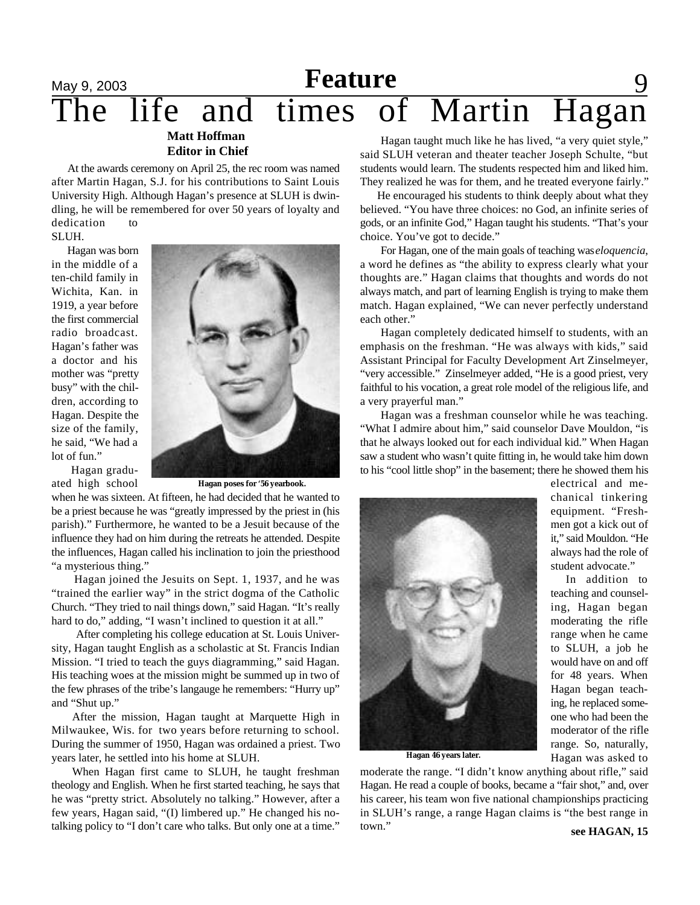## May 9, 2003 **Reature** 9 The life and times of Martin Hagan **Matt Hoffman Feature**

## **Editor in Chief**

 At the awards ceremony on April 25, the rec room was named after Martin Hagan, S.J. for his contributions to Saint Louis University High. Although Hagan's presence at SLUH is dwindling, he will be remembered for over 50 years of loyalty and dedication to

SLUH.

 Hagan was born in the middle of a ten-child family in Wichita, Kan. in 1919, a year before the first commercial radio broadcast. Hagan's father was a doctor and his mother was "pretty busy" with the children, according to Hagan. Despite the size of the family, he said, "We had a lot of fun." Hagan gradu-

ated high school



**Hagan poses for '56 yearbook.**

when he was sixteen. At fifteen, he had decided that he wanted to be a priest because he was "greatly impressed by the priest in (his parish)." Furthermore, he wanted to be a Jesuit because of the influence they had on him during the retreats he attended. Despite the influences, Hagan called his inclination to join the priesthood "a mysterious thing."

 Hagan joined the Jesuits on Sept. 1, 1937, and he was "trained the earlier way" in the strict dogma of the Catholic Church. "They tried to nail things down," said Hagan. "It's really hard to do," adding, "I wasn't inclined to question it at all."

 After completing his college education at St. Louis University, Hagan taught English as a scholastic at St. Francis Indian Mission. "I tried to teach the guys diagramming," said Hagan. His teaching woes at the mission might be summed up in two of the few phrases of the tribe's langauge he remembers: "Hurry up" and "Shut up."

After the mission, Hagan taught at Marquette High in Milwaukee, Wis. for two years before returning to school. During the summer of 1950, Hagan was ordained a priest. Two years later, he settled into his home at SLUH.

When Hagan first came to SLUH, he taught freshman theology and English. When he first started teaching, he says that he was "pretty strict. Absolutely no talking." However, after a few years, Hagan said, "(I) limbered up." He changed his notalking policy to "I don't care who talks. But only one at a time."

Hagan taught much like he has lived, "a very quiet style," said SLUH veteran and theater teacher Joseph Schulte, "but students would learn. The students respected him and liked him. They realized he was for them, and he treated everyone fairly."

 He encouraged his students to think deeply about what they believed. "You have three choices: no God, an infinite series of gods, or an infinite God," Hagan taught his students. "That's your choice. You've got to decide."

For Hagan, one of the main goals of teaching was *eloquencia*, a word he defines as "the ability to express clearly what your thoughts are." Hagan claims that thoughts and words do not always match, and part of learning English is trying to make them match. Hagan explained, "We can never perfectly understand each other."

Hagan completely dedicated himself to students, with an emphasis on the freshman. "He was always with kids," said Assistant Principal for Faculty Development Art Zinselmeyer, "very accessible." Zinselmeyer added, "He is a good priest, very faithful to his vocation, a great role model of the religious life, and a very prayerful man."

Hagan was a freshman counselor while he was teaching. "What I admire about him," said counselor Dave Mouldon, "is that he always looked out for each individual kid." When Hagan saw a student who wasn't quite fitting in, he would take him down to his "cool little shop" in the basement; there he showed them his



**Hagan 46 years later.**

moderate the range. "I didn't know anything about rifle," said Hagan. He read a couple of books, became a "fair shot," and, over his career, his team won five national championships practicing in SLUH's range, a range Hagan claims is "the best range in town."

chanical tinkering equipment. "Freshmen got a kick out of it," said Mouldon. "He always had the role of student advocate." In addition to

electrical and me-

teaching and counseling, Hagan began moderating the rifle range when he came to SLUH, a job he would have on and off for 48 years. When Hagan began teaching, he replaced someone who had been the moderator of the rifle range. So, naturally, Hagan was asked to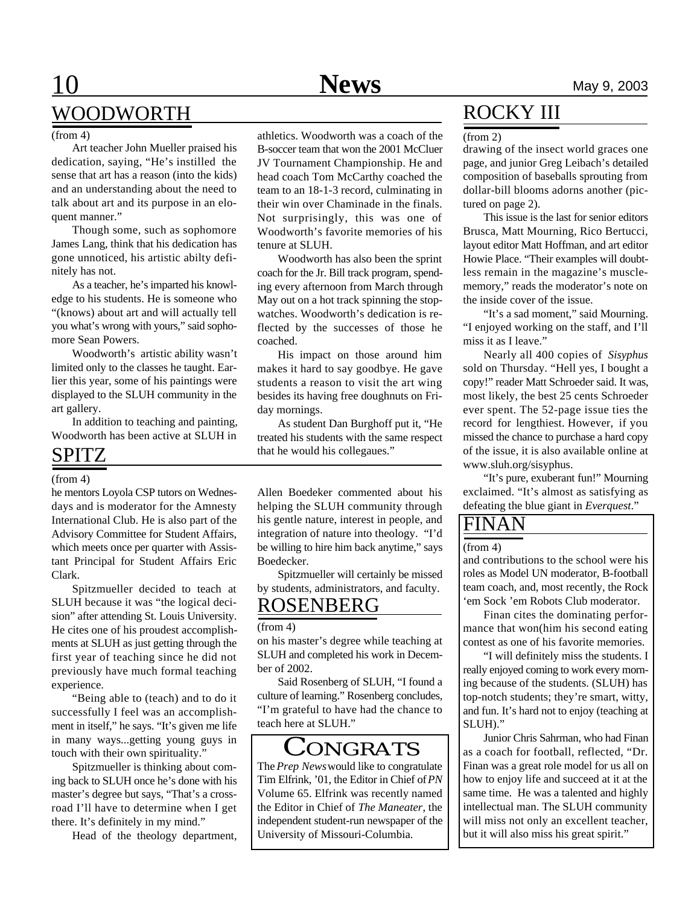# WOODWORTH

#### (from 4)

Art teacher John Mueller praised his dedication, saying, "He's instilled the sense that art has a reason (into the kids) and an understanding about the need to talk about art and its purpose in an eloquent manner."

Though some, such as sophomore James Lang, think that his dedication has gone unnoticed, his artistic abilty definitely has not.

As a teacher, he's imparted his knowledge to his students. He is someone who "(knows) about art and will actually tell you what's wrong with yours," said sophomore Sean Powers.

Woodworth's artistic ability wasn't limited only to the classes he taught. Earlier this year, some of his paintings were displayed to the SLUH community in the art gallery.

In addition to teaching and painting, Woodworth has been active at SLUH in

## SPITZ

### (from 4)

he mentors Loyola CSP tutors on Wednesdays and is moderator for the Amnesty International Club. He is also part of the Advisory Committee for Student Affairs, which meets once per quarter with Assistant Principal for Student Affairs Eric Clark.

Spitzmueller decided to teach at SLUH because it was "the logical decision" after attending St. Louis University. He cites one of his proudest accomplishments at SLUH as just getting through the first year of teaching since he did not previously have much formal teaching experience.

"Being able to (teach) and to do it successfully I feel was an accomplishment in itself," he says. "It's given me life in many ways...getting young guys in touch with their own spirituality."

Spitzmueller is thinking about coming back to SLUH once he's done with his master's degree but says, "That's a crossroad I'll have to determine when I get there. It's definitely in my mind."

Head of the theology department,

athletics. Woodworth was a coach of the B-soccer team that won the 2001 McCluer JV Tournament Championship. He and head coach Tom McCarthy coached the team to an 18-1-3 record, culminating in their win over Chaminade in the finals. Not surprisingly, this was one of Woodworth's favorite memories of his tenure at SLUH.

Woodworth has also been the sprint coach for the Jr. Bill track program, spending every afternoon from March through May out on a hot track spinning the stopwatches. Woodworth's dedication is reflected by the successes of those he coached.

His impact on those around him makes it hard to say goodbye. He gave students a reason to visit the art wing besides its having free doughnuts on Friday mornings.

As student Dan Burghoff put it, "He treated his students with the same respect that he would his collegaues."

Allen Boedeker commented about his helping the SLUH community through his gentle nature, interest in people, and integration of nature into theology. "I'd be willing to hire him back anytime," says Boedecker.

Spitzmueller will certainly be missed by students, administrators, and faculty.

## ROSENBERG

### (from 4)

on his master's degree while teaching at SLUH and completed his work in December of 2002.

Said Rosenberg of SLUH, "I found a culture of learning." Rosenberg concludes, "I'm grateful to have had the chance to teach here at SLUH."

## **CONGRATS**

The *Prep News* would like to congratulate Tim Elfrink, '01, the Editor in Chief of *PN* Volume 65. Elfrink was recently named the Editor in Chief of *The Maneater*, the independent student-run newspaper of the University of Missouri-Columbia.

## ROCKY III

#### (from 2)

drawing of the insect world graces one page, and junior Greg Leibach's detailed composition of baseballs sprouting from dollar-bill blooms adorns another (pictured on page 2).

This issue is the last for senior editors Brusca, Matt Mourning, Rico Bertucci, layout editor Matt Hoffman, and art editor Howie Place. "Their examples will doubtless remain in the magazine's musclememory," reads the moderator's note on the inside cover of the issue.

"It's a sad moment," said Mourning. "I enjoyed working on the staff, and I'll miss it as I leave."

Nearly all 400 copies of *Sisyphus* sold on Thursday. "Hell yes, I bought a copy!" reader Matt Schroeder said. It was, most likely, the best 25 cents Schroeder ever spent. The 52-page issue ties the record for lengthiest. However, if you missed the chance to purchase a hard copy of the issue, it is also available online at www.sluh.org/sisyphus.

"It's pure, exuberant fun!" Mourning exclaimed. "It's almost as satisfying as defeating the blue giant in *Everquest*."

## $\mathbf{NAN}$

### (from 4)

and contributions to the school were his roles as Model UN moderator, B-football team coach, and, most recently, the Rock 'em Sock 'em Robots Club moderator.

Finan cites the dominating performance that won(him his second eating contest as one of his favorite memories.

"I will definitely miss the students. I really enjoyed coming to work every morning because of the students. (SLUH) has top-notch students; they're smart, witty, and fun. It's hard not to enjoy (teaching at SLUH)."

Junior Chris Sahrman, who had Finan as a coach for football, reflected, "Dr. Finan was a great role model for us all on how to enjoy life and succeed at it at the same time. He was a talented and highly intellectual man. The SLUH community will miss not only an excellent teacher, but it will also miss his great spirit."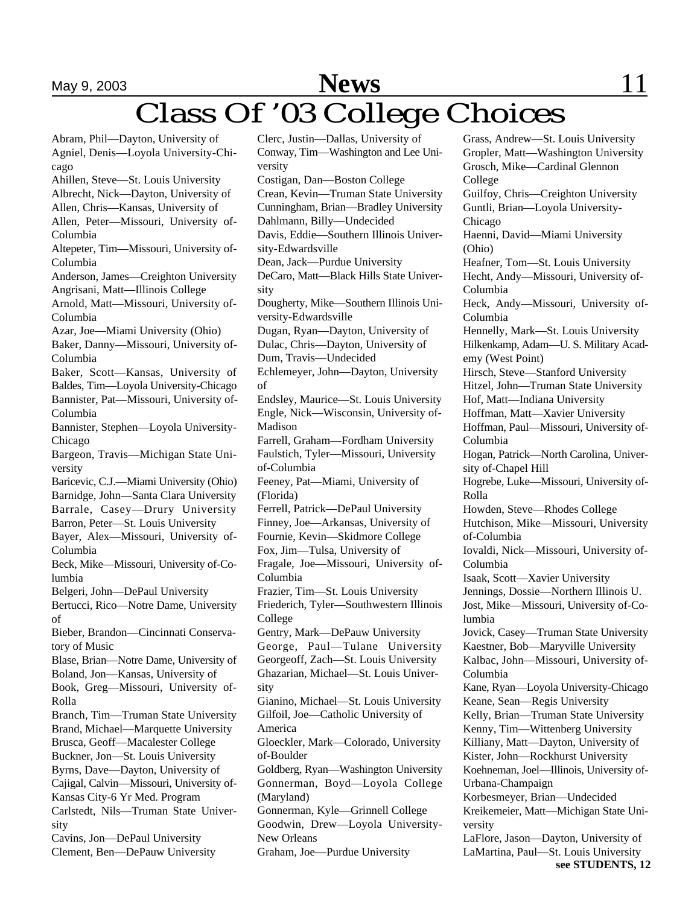# May 9, 2003 **News** 11 Class Of '03 College Choices

Abram, Phil—Dayton, University of Agniel, Denis—Loyola University-Chicago Ahillen, Steve—St. Louis University Albrecht, Nick—Dayton, University of Allen, Chris—Kansas, University of Allen, Peter—Missouri, University of-Columbia Altepeter, Tim—Missouri, University of-Columbia Anderson, James—Creighton University Angrisani, Matt—Illinois College Arnold, Matt—Missouri, University of-Columbia Azar, Joe—Miami University (Ohio) Baker, Danny—Missouri, University of-Columbia Baker, Scott—Kansas, University of Baldes, Tim—Loyola University-Chicago Bannister, Pat—Missouri, University of-Columbia Bannister, Stephen—Loyola University-Chicago Bargeon, Travis—Michigan State University Baricevic, C.J.—Miami University (Ohio) Barnidge, John—Santa Clara University Barrale, Casey—Drury University Barron, Peter—St. Louis University Bayer, Alex—Missouri, University of-Columbia Beck, Mike—Missouri, University of-Columbia Belgeri, John—DePaul University Bertucci, Rico—Notre Dame, University of Bieber, Brandon—Cincinnati Conservatory of Music Blase, Brian—Notre Dame, University of Boland, Jon—Kansas, University of Book, Greg—Missouri, University of-Rolla Branch, Tim—Truman State University Brand, Michael—Marquette University Brusca, Geoff—Macalester College Buckner, Jon—St. Louis University Byrns, Dave—Dayton, University of Cajigal, Calvin—Missouri, University of-Kansas City-6 Yr Med. Program Carlstedt, Nils—Truman State University Cavins, Jon—DePaul University Clement, Ben—DePauw University of

Clerc, Justin—Dallas, University of Conway, Tim—Washington and Lee University Costigan, Dan—Boston College Crean, Kevin—Truman State University Cunningham, Brian—Bradley University Dahlmann, Billy—Undecided Davis, Eddie—Southern Illinois University-Edwardsville Dean, Jack—Purdue University DeCaro, Matt—Black Hills State University Dougherty, Mike—Southern Illinois University-Edwardsville Dugan, Ryan—Dayton, University of Dulac, Chris—Dayton, University of Dum, Travis—Undecided Echlemeyer, John—Dayton, University Endsley, Maurice—St. Louis University Engle, Nick—Wisconsin, University of-Madison Farrell, Graham—Fordham University Faulstich, Tyler—Missouri, University of-Columbia Feeney, Pat—Miami, University of (Florida) Ferrell, Patrick—DePaul University Finney, Joe—Arkansas, University of Fournie, Kevin—Skidmore College Fox, Jim—Tulsa, University of Fragale, Joe—Missouri, University of-Columbia Frazier, Tim—St. Louis University Friederich, Tyler—Southwestern Illinois College Gentry, Mark—DePauw University George, Paul—Tulane University Georgeoff, Zach—St. Louis University Ghazarian, Michael—St. Louis University Gianino, Michael—St. Louis University Gilfoil, Joe—Catholic University of America Gloeckler, Mark—Colorado, University of-Boulder Goldberg, Ryan—Washington University Gonnerman, Boyd—Loyola College (Maryland) Gonnerman, Kyle—Grinnell College Goodwin, Drew—Loyola University-New Orleans Graham, Joe—Purdue University

Grass, Andrew—St. Louis University Gropler, Matt—Washington University Grosch, Mike—Cardinal Glennon College Guilfoy, Chris—Creighton University Guntli, Brian—Loyola University-Chicago Haenni, David—Miami University (Ohio) Heafner, Tom—St. Louis University Hecht, Andy—Missouri, University of-Columbia Heck, Andy—Missouri, University of-Columbia Hennelly, Mark—St. Louis University Hilkenkamp, Adam—U. S. Military Academy (West Point) Hirsch, Steve—Stanford University Hitzel, John—Truman State University Hof, Matt—Indiana University Hoffman, Matt—Xavier University Hoffman, Paul—Missouri, University of-Columbia Hogan, Patrick—North Carolina, University of-Chapel Hill Hogrebe, Luke—Missouri, University of-Rolla Howden, Steve—Rhodes College Hutchison, Mike—Missouri, University of-Columbia Iovaldi, Nick—Missouri, University of-Columbia Isaak, Scott—Xavier University Jennings, Dossie—Northern Illinois U. Jost, Mike—Missouri, University of-Columbia Jovick, Casey—Truman State University Kaestner, Bob—Maryville University Kalbac, John—Missouri, University of-Columbia Kane, Ryan—Loyola University-Chicago Keane, Sean—Regis University Kelly, Brian—Truman State University Kenny, Tim—Wittenberg University Killiany, Matt—Dayton, University of Kister, John—Rockhurst University Koehneman, Joel—Illinois, University of-Urbana-Champaign Korbesmeyer, Brian—Undecided Kreikemeier, Matt—Michigan State University LaFlore, Jason—Dayton, University of LaMartina, Paul—St. Louis University **see STUDENTS, 12**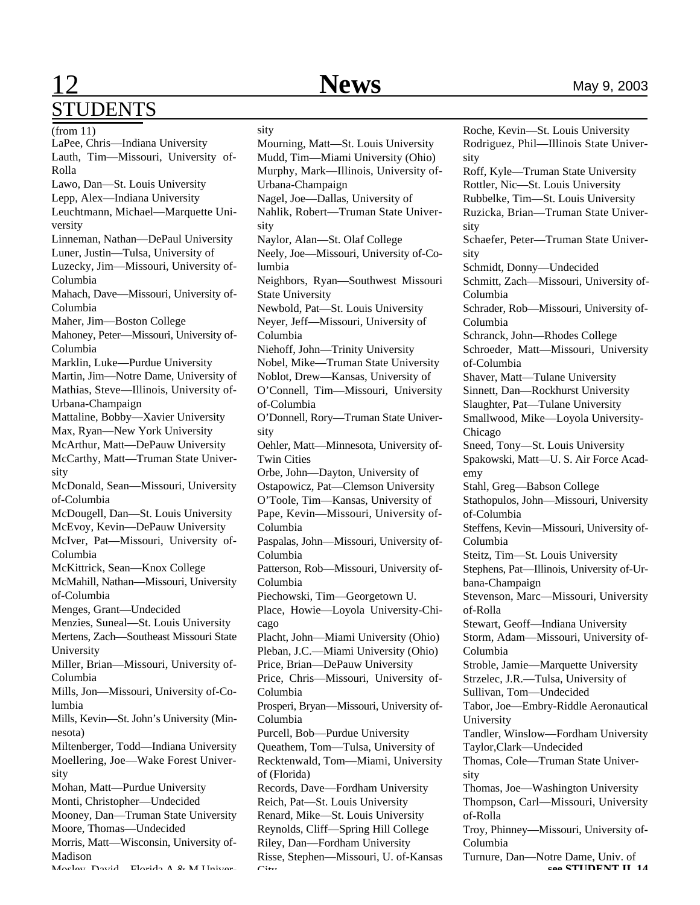## **12** Mews May 9, 2003 STUDENTS

sity

Roche, Kevin—St. Louis University

LaPee, Chris—Indiana University Lauth, Tim—Missouri, University of-Rolla Lawo, Dan—St. Louis University Lepp, Alex—Indiana University Leuchtmann, Michael—Marquette University Linneman, Nathan—DePaul University Luner, Justin—Tulsa, University of Luzecky, Jim—Missouri, University of-Columbia Mahach, Dave—Missouri, University of-Columbia Maher, Jim—Boston College Mahoney, Peter—Missouri, University of-Columbia Marklin, Luke—Purdue University Martin, Jim—Notre Dame, University of Mathias, Steve—Illinois, University of-Urbana-Champaign Mattaline, Bobby—Xavier University Max, Ryan—New York University McArthur, Matt—DePauw University McCarthy, Matt—Truman State University McDonald, Sean—Missouri, University of-Columbia McDougell, Dan—St. Louis University McEvoy, Kevin—DePauw University McIver, Pat—Missouri, University of-Columbia McKittrick, Sean—Knox College McMahill, Nathan—Missouri, University of-Columbia Menges, Grant—Undecided Menzies, Suneal—St. Louis University Mertens, Zach—Southeast Missouri State University Miller, Brian—Missouri, University of-Columbia Mills, Jon—Missouri, University of-Columbia Mills, Kevin—St. John's University (Minnesota) Miltenberger, Todd—Indiana University Moellering, Joe—Wake Forest University Mohan, Matt—Purdue University Monti, Christopher—Undecided Mooney, Dan—Truman State University Moore, Thomas—Undecided Morris, Matt—Wisconsin, University of-Madison Mosley, David—Florida A & M Univer-(from 11)

Mourning, Matt—St. Louis University Mudd, Tim—Miami University (Ohio) Murphy, Mark—Illinois, University of-Urbana-Champaign Nagel, Joe—Dallas, University of Nahlik, Robert—Truman State University Naylor, Alan—St. Olaf College Neely, Joe—Missouri, University of-Columbia Neighbors, Ryan—Southwest Missouri State University Newbold, Pat—St. Louis University Neyer, Jeff—Missouri, University of Columbia Niehoff, John—Trinity University Nobel, Mike—Truman State University Noblot, Drew—Kansas, University of O'Connell, Tim—Missouri, University of-Columbia O'Donnell, Rory—Truman State University Oehler, Matt—Minnesota, University of-Twin Cities Orbe, John—Dayton, University of Ostapowicz, Pat—Clemson University O'Toole, Tim—Kansas, University of Pape, Kevin—Missouri, University of-Columbia Paspalas, John—Missouri, University of-Columbia Patterson, Rob—Missouri, University of-Columbia Piechowski, Tim—Georgetown U. Place, Howie—Loyola University-Chicago Placht, John—Miami University (Ohio) Pleban, J.C.—Miami University (Ohio) Price, Brian—DePauw University Price, Chris—Missouri, University of-Columbia Prosperi, Bryan—Missouri, University of-Columbia Purcell, Bob—Purdue University Queathem, Tom—Tulsa, University of Recktenwald, Tom—Miami, University of (Florida) Records, Dave—Fordham University Reich, Pat—St. Louis University Renard, Mike—St. Louis University Reynolds, Cliff—Spring Hill College Riley, Dan—Fordham University Risse, Stephen—Missouri, U. of-Kansas  $C:$ 

Rodriguez, Phil—Illinois State University Roff, Kyle—Truman State University Rottler, Nic—St. Louis University Rubbelke, Tim—St. Louis University Ruzicka, Brian—Truman State University Schaefer, Peter—Truman State University Schmidt, Donny—Undecided Schmitt, Zach—Missouri, University of-Columbia Schrader, Rob—Missouri, University of-Columbia Schranck, John—Rhodes College Schroeder, Matt—Missouri, University of-Columbia Shaver, Matt—Tulane University Sinnett, Dan—Rockhurst University Slaughter, Pat—Tulane University Smallwood, Mike—Loyola University-Chicago Sneed, Tony—St. Louis University Spakowski, Matt—U. S. Air Force Academy Stahl, Greg—Babson College Stathopulos, John—Missouri, University of-Columbia Steffens, Kevin—Missouri, University of-Columbia Steitz, Tim—St. Louis University Stephens, Pat—Illinois, University of-Urbana-Champaign Stevenson, Marc—Missouri, University of-Rolla Stewart, Geoff—Indiana University Storm, Adam—Missouri, University of-Columbia Stroble, Jamie—Marquette University Strzelec, J.R.—Tulsa, University of Sullivan, Tom—Undecided Tabor, Joe—Embry-Riddle Aeronautical University Tandler, Winslow—Fordham University Taylor,Clark—Undecided Thomas, Cole—Truman State University Thomas, Joe—Washington University Thompson, Carl—Missouri, University of-Rolla Troy, Phinney—Missouri, University of-Columbia Turnure, Dan—Notre Dame, Univ. of **see STUDENT II, 14**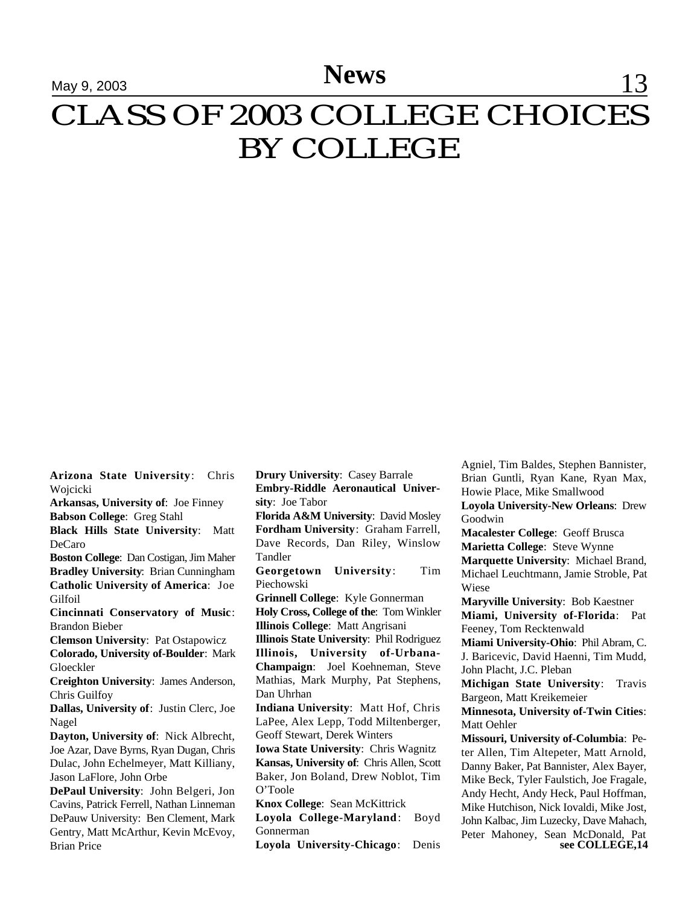# **News** 13 CLASS OF 2003 COLLEGE CHOICES BY COLLEGE

**Arizona State University**: Chris Wojcicki

**Arkansas, University of**: Joe Finney **Babson College**: Greg Stahl

**Black Hills State University**: Matt DeCaro

**Boston College**: Dan Costigan, Jim Maher **Bradley University**: Brian Cunningham **Catholic University of America**: Joe **Gilfoil** 

**Cincinnati Conservatory of Music**: Brandon Bieber

**Clemson University**: Pat Ostapowicz

**Colorado, University of-Boulder**: Mark Gloeckler

**Creighton University**: James Anderson, Chris Guilfoy

**Dallas, University of**: Justin Clerc, Joe Nagel

**Dayton, University of**: Nick Albrecht, Joe Azar, Dave Byrns, Ryan Dugan, Chris Dulac, John Echelmeyer, Matt Killiany, Jason LaFlore, John Orbe

**DePaul University**: John Belgeri, Jon Cavins, Patrick Ferrell, Nathan Linneman DePauw University: Ben Clement, Mark Gentry, Matt McArthur, Kevin McEvoy, Brian Price

**Drury University**: Casey Barrale **Embry-Riddle Aeronautical University**: Joe Tabor

**Florida A&M University**: David Mosley **Fordham University**: Graham Farrell, Dave Records, Dan Riley, Winslow Tandler

**Georgetown University**: Tim Piechowski

**Grinnell College**: Kyle Gonnerman **Holy Cross, College of the**: Tom Winkler **Illinois College**: Matt Angrisani

**Illinois State University**: Phil Rodriguez **Illinois, University of-Urbana-Champaign**: Joel Koehneman, Steve Mathias, Mark Murphy, Pat Stephens, Dan Uhrhan

**Indiana University**: Matt Hof, Chris LaPee, Alex Lepp, Todd Miltenberger, Geoff Stewart, Derek Winters

**Iowa State University**: Chris Wagnitz **Kansas, University of**: Chris Allen, Scott Baker, Jon Boland, Drew Noblot, Tim O'Toole

**Knox College**: Sean McKittrick

**Loyola College-Maryland**: Boyd Gonnerman

**Loyola University-Chicago**: Denis

Agniel, Tim Baldes, Stephen Bannister, Brian Guntli, Ryan Kane, Ryan Max, Howie Place, Mike Smallwood **Loyola University-New Orleans**: Drew

Goodwin

**Macalester College**: Geoff Brusca **Marietta College**: Steve Wynne **Marquette University**: Michael Brand, Michael Leuchtmann, Jamie Stroble, Pat

Wiese

**Maryville University**: Bob Kaestner **Miami, University of-Florida**: Pat Feeney, Tom Recktenwald

**Miami University-Ohio**: Phil Abram, C. J. Baricevic, David Haenni, Tim Mudd,

John Placht, J.C. Pleban **Michigan State University**: Travis Bargeon, Matt Kreikemeier

**Minnesota, University of-Twin Cities**: Matt Oehler

**Missouri, University of-Columbia**: Peter Allen, Tim Altepeter, Matt Arnold, Danny Baker, Pat Bannister, Alex Bayer, Mike Beck, Tyler Faulstich, Joe Fragale, Andy Hecht, Andy Heck, Paul Hoffman, Mike Hutchison, Nick Iovaldi, Mike Jost, John Kalbac, Jim Luzecky, Dave Mahach, Peter Mahoney, Sean McDonald, Pat **see COLLEGE,14**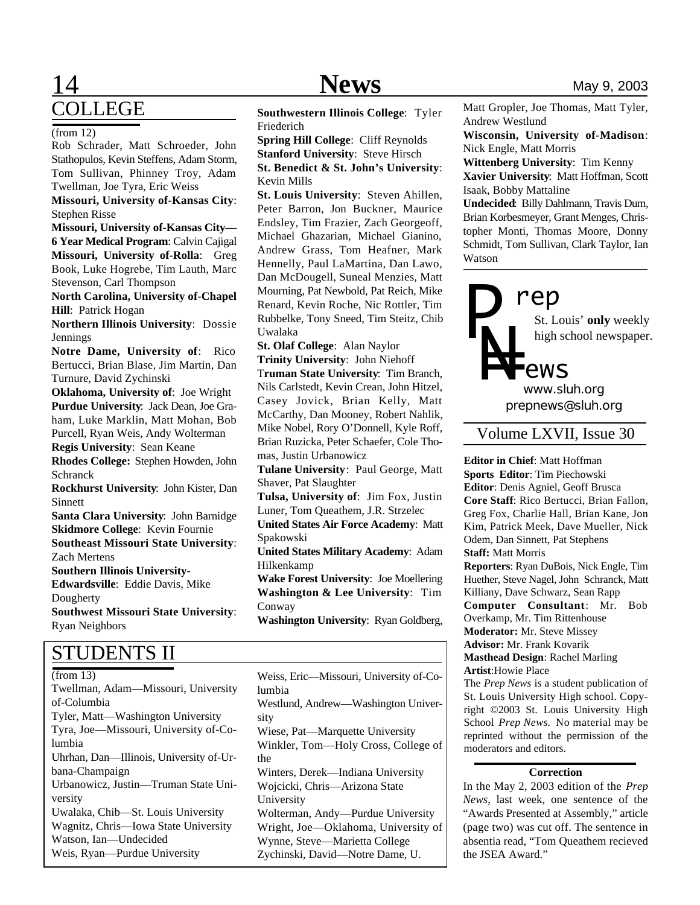## **14** Mews May 9, 2003 COLLEGE

#### (from 12)

Rob Schrader, Matt Schroeder, John Stathopulos, Kevin Steffens, Adam Storm, Tom Sullivan, Phinney Troy, Adam Twellman, Joe Tyra, Eric Weiss

**Missouri, University of-Kansas City**: Stephen Risse

**Missouri, University of-Kansas City— 6 Year Medical Program**: Calvin Cajigal **Missouri, University of-Rolla**: Greg Book, Luke Hogrebe, Tim Lauth, Marc Stevenson, Carl Thompson

**North Carolina, University of-Chapel Hill**: Patrick Hogan

**Northern Illinois University**: Dossie Jennings

**Notre Dame, University of**: Rico Bertucci, Brian Blase, Jim Martin, Dan Turnure, David Zychinski

**Oklahoma, University of**: Joe Wright **Purdue University**: Jack Dean, Joe Graham, Luke Marklin, Matt Mohan, Bob Purcell, Ryan Weis, Andy Wolterman **Regis University**: Sean Keane

**Rhodes College:** Stephen Howden, John Schranck

**Rockhurst University**: John Kister, Dan Sinnett

**Santa Clara University**: John Barnidge **Skidmore College**: Kevin Fournie **Southeast Missouri State University**: Zach Mertens **Southern Illinois University-**

**Edwardsville**: Eddie Davis, Mike **Dougherty Southwest Missouri State University**:

Ryan Neighbors

## STUDENTS II

Twellman, Adam—Missouri, University of-Columbia Tyler, Matt—Washington University Tyra, Joe—Missouri, University of-Columbia Uhrhan, Dan—Illinois, University of-Urbana-Champaign Urbanowicz, Justin—Truman State University Uwalaka, Chib—St. Louis University Wagnitz, Chris—Iowa State University Watson, Ian—Undecided Weis, Ryan—Purdue University

**Southwestern Illinois College**: Tyler Friederich

**Spring Hill College**: Cliff Reynolds **Stanford University**: Steve Hirsch **St. Benedict & St. John's University**: Kevin Mills

**St. Louis University**: Steven Ahillen, Peter Barron, Jon Buckner, Maurice Endsley, Tim Frazier, Zach Georgeoff, Michael Ghazarian, Michael Gianino, Andrew Grass, Tom Heafner, Mark Hennelly, Paul LaMartina, Dan Lawo, Dan McDougell, Suneal Menzies, Matt Mourning, Pat Newbold, Pat Reich, Mike Renard, Kevin Roche, Nic Rottler, Tim Rubbelke, Tony Sneed, Tim Steitz, Chib Uwalaka

**St. Olaf College**: Alan Naylor

**Trinity University**: John Niehoff

T**ruman State University**: Tim Branch, Nils Carlstedt, Kevin Crean, John Hitzel, Casey Jovick, Brian Kelly, Matt McCarthy, Dan Mooney, Robert Nahlik, Mike Nobel, Rory O'Donnell, Kyle Roff, Brian Ruzicka, Peter Schaefer, Cole Thomas, Justin Urbanowicz

**Tulane University**: Paul George, Matt Shaver, Pat Slaughter

**Tulsa, University of**: Jim Fox, Justin Luner, Tom Queathem, J.R. Strzelec

**United States Air Force Academy**: Matt Spakowski

**United States Military Academy**: Adam Hilkenkamp

**Wake Forest University**: Joe Moellering **Washington & Lee University**: Tim Conway

**Washington University**: Ryan Goldberg,

(from 13) Weiss, Eric—Missouri, University of-Columbia Westlund, Andrew—Washington University Wiese, Pat—Marquette University Winkler, Tom—Holy Cross, College of the Winters, Derek—Indiana University Wojcicki, Chris—Arizona State University Wolterman, Andy—Purdue University Wright, Joe—Oklahoma, University of Wynne, Steve—Marietta College Zychinski, David—Notre Dame, U.

Matt Gropler, Joe Thomas, Matt Tyler, Andrew Westlund

**Wisconsin, University of-Madison**: Nick Engle, Matt Morris

**Wittenberg University**: Tim Kenny **Xavier University**: Matt Hoffman, Scott Isaak, Bobby Mattaline

**Undecided**: Billy Dahlmann, Travis Dum, Brian Korbesmeyer, Grant Menges, Christopher Monti, Thomas Moore, Donny Schmidt, Tom Sullivan, Clark Taylor, Ian Watson



St. Louis' **only** weekly high school newspaper.

*prepnews@sluh.org www.sluh.org*

Volume LXVII, Issue 30

**Editor in Chief**: Matt Hoffman **Sports Editor**: Tim Piechowski **Editor**: Denis Agniel, Geoff Brusca **Core Staff**: Rico Bertucci, Brian Fallon, Greg Fox, Charlie Hall, Brian Kane, Jon Kim, Patrick Meek, Dave Mueller, Nick Odem, Dan Sinnett, Pat Stephens **Staff:** Matt Morris **Reporters**: Ryan DuBois, Nick Engle, Tim Huether, Steve Nagel, John Schranck, Matt Killiany, Dave Schwarz, Sean Rapp **Computer Consultant**: Mr. Bob Overkamp, Mr. Tim Rittenhouse

**Moderator:** Mr. Steve Missey

**Advisor:** Mr. Frank Kovarik

**Masthead Design**: Rachel Marling

**Artist**:Howie Place

The *Prep News* is a student publication of St. Louis University High school. Copyright ©2003 St. Louis University High School *Prep News.* No material may be reprinted without the permission of the moderators and editors.

### **Correction**

In the May 2, 2003 edition of the *Prep News*, last week, one sentence of the "Awards Presented at Assembly," article (page two) was cut off. The sentence in absentia read, "Tom Queathem recieved the JSEA Award."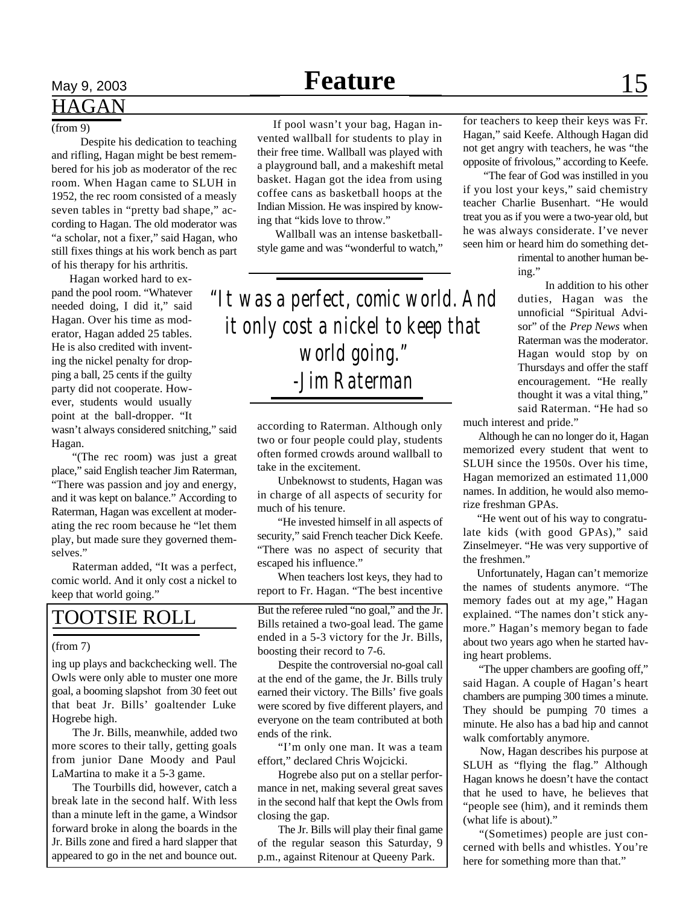# **HAGAN**

#### $(from 9)$

 Despite his dedication to teaching and rifling, Hagan might be best remembered for his job as moderator of the rec room. When Hagan came to SLUH in 1952, the rec room consisted of a measly seven tables in "pretty bad shape," according to Hagan. The old moderator was "a scholar, not a fixer," said Hagan, who still fixes things at his work bench as part of his therapy for his arthritis.

 Hagan worked hard to expand the pool room. "Whatever needed doing, I did it," said Hagan. Over his time as moderator, Hagan added 25 tables. He is also credited with inventing the nickel penalty for dropping a ball, 25 cents if the guilty party did not cooperate. However, students would usually point at the ball-dropper. "It

wasn't always considered snitching," said Hagan.

"(The rec room) was just a great place," said English teacher Jim Raterman, "There was passion and joy and energy, and it was kept on balance." According to Raterman, Hagan was excellent at moderating the rec room because he "let them play, but made sure they governed themselves."

Raterman added, "It was a perfect, comic world. And it only cost a nickel to keep that world going."

#### (from 7)

ing up plays and backchecking well. The Owls were only able to muster one more goal, a booming slapshot from 30 feet out that beat Jr. Bills' goaltender Luke Hogrebe high.

The Jr. Bills, meanwhile, added two more scores to their tally, getting goals from junior Dane Moody and Paul LaMartina to make it a 5-3 game.

The Tourbills did, however, catch a break late in the second half. With less than a minute left in the game, a Windsor forward broke in along the boards in the Jr. Bills zone and fired a hard slapper that appeared to go in the net and bounce out.

# May 9, 2003 **Feature** 15

 If pool wasn't your bag, Hagan invented wallball for students to play in their free time. Wallball was played with a playground ball, and a makeshift metal basket. Hagan got the idea from using coffee cans as basketball hoops at the Indian Mission. He was inspired by knowing that "kids love to throw."

 Wallball was an intense basketballstyle game and was "wonderful to watch,"

*"It was a perfect, comic world. And it only cost a nickel to keep that world going." -Jim Raterman*

> according to Raterman. Although only two or four people could play, students often formed crowds around wallball to take in the excitement.

Unbeknowst to students, Hagan was in charge of all aspects of security for much of his tenure.

"He invested himself in all aspects of security," said French teacher Dick Keefe. "There was no aspect of security that escaped his influence."

When teachers lost keys, they had to report to Fr. Hagan. "The best incentive

TOOTSIE ROLL But the referee ruled "no goal," and the Jr. Bills retained a two-goal lead. The game ended in a 5-3 victory for the Jr. Bills, boosting their record to 7-6.

> Despite the controversial no-goal call at the end of the game, the Jr. Bills truly earned their victory. The Bills' five goals were scored by five different players, and everyone on the team contributed at both ends of the rink.

> "I'm only one man. It was a team effort," declared Chris Wojcicki.

> Hogrebe also put on a stellar performance in net, making several great saves in the second half that kept the Owls from closing the gap.

> The Jr. Bills will play their final game of the regular season this Saturday, 9 p.m., against Ritenour at Queeny Park.

for teachers to keep their keys was Fr. Hagan," said Keefe. Although Hagan did not get angry with teachers, he was "the opposite of frivolous," according to Keefe.

"The fear of God was instilled in you if you lost your keys," said chemistry teacher Charlie Busenhart. "He would treat you as if you were a two-year old, but he was always considerate. I've never seen him or heard him do something det-

> rimental to another human being."

In addition to his other duties, Hagan was the unnoficial "Spiritual Advisor" of the *Prep News* when Raterman was the moderator. Hagan would stop by on Thursdays and offer the staff encouragement. "He really thought it was a vital thing," said Raterman. "He had so

much interest and pride."

 Although he can no longer do it, Hagan memorized every student that went to SLUH since the 1950s. Over his time, Hagan memorized an estimated 11,000 names. In addition, he would also memorize freshman GPAs.

 "He went out of his way to congratulate kids (with good GPAs)," said Zinselmeyer. "He was very supportive of the freshmen."

 Unfortunately, Hagan can't memorize the names of students anymore. "The memory fades out at my age," Hagan explained. "The names don't stick anymore." Hagan's memory began to fade about two years ago when he started having heart problems.

 "The upper chambers are goofing off," said Hagan. A couple of Hagan's heart chambers are pumping 300 times a minute. They should be pumping 70 times a minute. He also has a bad hip and cannot walk comfortably anymore.

 Now, Hagan describes his purpose at SLUH as "flying the flag." Although Hagan knows he doesn't have the contact that he used to have, he believes that "people see (him), and it reminds them (what life is about)."

 "(Sometimes) people are just concerned with bells and whistles. You're here for something more than that."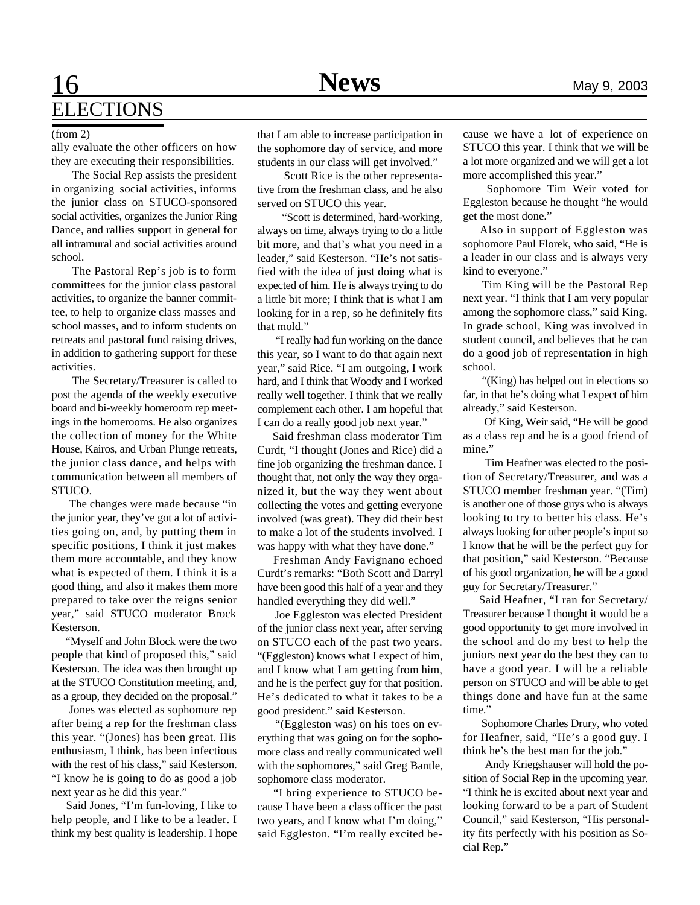# **16** Mews May 9, 2003 **ELECTIONS**

ally evaluate the other officers on how they are executing their responsibilities.

The Social Rep assists the president in organizing social activities, informs the junior class on STUCO-sponsored social activities, organizes the Junior Ring Dance, and rallies support in general for all intramural and social activities around school.

The Pastoral Rep's job is to form committees for the junior class pastoral activities, to organize the banner committee, to help to organize class masses and school masses, and to inform students on retreats and pastoral fund raising drives, in addition to gathering support for these activities.

The Secretary/Treasurer is called to post the agenda of the weekly executive board and bi-weekly homeroom rep meetings in the homerooms. He also organizes the collection of money for the White House, Kairos, and Urban Plunge retreats, the junior class dance, and helps with communication between all members of STUCO.

 The changes were made because "in the junior year, they've got a lot of activities going on, and, by putting them in specific positions, I think it just makes them more accountable, and they know what is expected of them. I think it is a good thing, and also it makes them more prepared to take over the reigns senior year," said STUCO moderator Brock Kesterson.

 "Myself and John Block were the two people that kind of proposed this," said Kesterson. The idea was then brought up at the STUCO Constitution meeting, and, as a group, they decided on the proposal."

 Jones was elected as sophomore rep after being a rep for the freshman class this year. "(Jones) has been great. His enthusiasm, I think, has been infectious with the rest of his class," said Kesterson. "I know he is going to do as good a job next year as he did this year."

 Said Jones, "I'm fun-loving, I like to help people, and I like to be a leader. I think my best quality is leadership. I hope

(from 2) that I am able to increase participation in the sophomore day of service, and more students in our class will get involved."

> Scott Rice is the other representative from the freshman class, and he also served on STUCO this year.

 "Scott is determined, hard-working, always on time, always trying to do a little bit more, and that's what you need in a leader," said Kesterson. "He's not satisfied with the idea of just doing what is expected of him. He is always trying to do a little bit more; I think that is what I am looking for in a rep, so he definitely fits that mold."

 "I really had fun working on the dance this year, so I want to do that again next year," said Rice. "I am outgoing, I work hard, and I think that Woody and I worked really well together. I think that we really complement each other. I am hopeful that I can do a really good job next year."

 Said freshman class moderator Tim Curdt, "I thought (Jones and Rice) did a fine job organizing the freshman dance. I thought that, not only the way they organized it, but the way they went about collecting the votes and getting everyone involved (was great). They did their best to make a lot of the students involved. I was happy with what they have done."

 Freshman Andy Favignano echoed Curdt's remarks: "Both Scott and Darryl have been good this half of a year and they handled everything they did well."

 Joe Eggleston was elected President of the junior class next year, after serving on STUCO each of the past two years. "(Eggleston) knows what I expect of him, and I know what I am getting from him, and he is the perfect guy for that position. He's dedicated to what it takes to be a good president." said Kesterson.

 "(Eggleston was) on his toes on everything that was going on for the sophomore class and really communicated well with the sophomores," said Greg Bantle, sophomore class moderator.

 "I bring experience to STUCO because I have been a class officer the past two years, and I know what I'm doing," said Eggleston. "I'm really excited because we have a lot of experience on STUCO this year. I think that we will be a lot more organized and we will get a lot more accomplished this year."

Sophomore Tim Weir voted for Eggleston because he thought "he would get the most done."

 Also in support of Eggleston was sophomore Paul Florek, who said, "He is a leader in our class and is always very kind to everyone."

 Tim King will be the Pastoral Rep next year. "I think that I am very popular among the sophomore class," said King. In grade school, King was involved in student council, and believes that he can do a good job of representation in high school.

 "(King) has helped out in elections so far, in that he's doing what I expect of him already," said Kesterson.

 Of King, Weir said, "He will be good as a class rep and he is a good friend of mine."

 Tim Heafner was elected to the position of Secretary/Treasurer, and was a STUCO member freshman year. "(Tim) is another one of those guys who is always looking to try to better his class. He's always looking for other people's input so I know that he will be the perfect guy for that position," said Kesterson. "Because of his good organization, he will be a good guy for Secretary/Treasurer."

 Said Heafner, "I ran for Secretary/ Treasurer because I thought it would be a good opportunity to get more involved in the school and do my best to help the juniors next year do the best they can to have a good year. I will be a reliable person on STUCO and will be able to get things done and have fun at the same time."

 Sophomore Charles Drury, who voted for Heafner, said, "He's a good guy. I think he's the best man for the job."

 Andy Kriegshauser will hold the position of Social Rep in the upcoming year. "I think he is excited about next year and looking forward to be a part of Student Council," said Kesterson, "His personality fits perfectly with his position as Social Rep."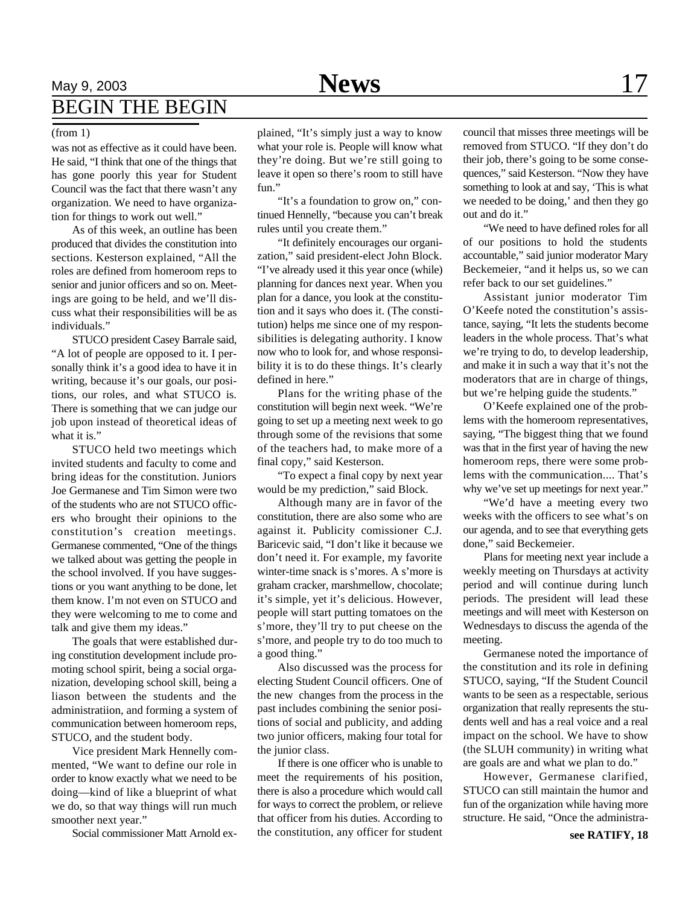## May 9, 2003 **News** 17 BEGIN THE BEGIN

was not as effective as it could have been. He said, "I think that one of the things that has gone poorly this year for Student Council was the fact that there wasn't any organization. We need to have organization for things to work out well."

As of this week, an outline has been produced that divides the constitution into sections. Kesterson explained, "All the roles are defined from homeroom reps to senior and junior officers and so on. Meetings are going to be held, and we'll discuss what their responsibilities will be as individuals."

STUCO president Casey Barrale said, "A lot of people are opposed to it. I personally think it's a good idea to have it in writing, because it's our goals, our positions, our roles, and what STUCO is. There is something that we can judge our job upon instead of theoretical ideas of what it is."

STUCO held two meetings which invited students and faculty to come and bring ideas for the constitution. Juniors Joe Germanese and Tim Simon were two of the students who are not STUCO officers who brought their opinions to the constitution's creation meetings. Germanese commented, "One of the things we talked about was getting the people in the school involved. If you have suggestions or you want anything to be done, let them know. I'm not even on STUCO and they were welcoming to me to come and talk and give them my ideas."

The goals that were established during constitution development include promoting school spirit, being a social organization, developing school skill, being a liason between the students and the administratiion, and forming a system of communication between homeroom reps, STUCO, and the student body.

Vice president Mark Hennelly commented, "We want to define our role in order to know exactly what we need to be doing—kind of like a blueprint of what we do, so that way things will run much smoother next year."

Social commissioner Matt Arnold ex-

(from 1) plained, "It's simply just a way to know what your role is. People will know what they're doing. But we're still going to leave it open so there's room to still have fun."

> "It's a foundation to grow on," continued Hennelly, "because you can't break rules until you create them."

> "It definitely encourages our organization," said president-elect John Block. "I've already used it this year once (while) planning for dances next year. When you plan for a dance, you look at the constitution and it says who does it. (The constitution) helps me since one of my responsibilities is delegating authority. I know now who to look for, and whose responsibility it is to do these things. It's clearly defined in here."

> Plans for the writing phase of the constitution will begin next week. "We're going to set up a meeting next week to go through some of the revisions that some of the teachers had, to make more of a final copy," said Kesterson.

> "To expect a final copy by next year would be my prediction," said Block.

> Although many are in favor of the constitution, there are also some who are against it. Publicity comissioner C.J. Baricevic said, "I don't like it because we don't need it. For example, my favorite winter-time snack is s'mores. A s'more is graham cracker, marshmellow, chocolate; it's simple, yet it's delicious. However, people will start putting tomatoes on the s'more, they'll try to put cheese on the s'more, and people try to do too much to a good thing."

> Also discussed was the process for electing Student Council officers. One of the new changes from the process in the past includes combining the senior positions of social and publicity, and adding two junior officers, making four total for the junior class.

> If there is one officer who is unable to meet the requirements of his position, there is also a procedure which would call for ways to correct the problem, or relieve that officer from his duties. According to the constitution, any officer for student

council that misses three meetings will be removed from STUCO. "If they don't do their job, there's going to be some consequences," said Kesterson. "Now they have something to look at and say, 'This is what we needed to be doing,' and then they go out and do it."

"We need to have defined roles for all of our positions to hold the students accountable," said junior moderator Mary Beckemeier, "and it helps us, so we can refer back to our set guidelines."

Assistant junior moderator Tim O'Keefe noted the constitution's assistance, saying, "It lets the students become leaders in the whole process. That's what we're trying to do, to develop leadership, and make it in such a way that it's not the moderators that are in charge of things, but we're helping guide the students."

O'Keefe explained one of the problems with the homeroom representatives, saying, "The biggest thing that we found was that in the first year of having the new homeroom reps, there were some problems with the communication.... That's why we've set up meetings for next year."

"We'd have a meeting every two weeks with the officers to see what's on our agenda, and to see that everything gets done," said Beckemeier.

Plans for meeting next year include a weekly meeting on Thursdays at activity period and will continue during lunch periods. The president will lead these meetings and will meet with Kesterson on Wednesdays to discuss the agenda of the meeting.

Germanese noted the importance of the constitution and its role in defining STUCO, saying, "If the Student Council wants to be seen as a respectable, serious organization that really represents the students well and has a real voice and a real impact on the school. We have to show (the SLUH community) in writing what are goals are and what we plan to do."

However, Germanese clarified, STUCO can still maintain the humor and fun of the organization while having more structure. He said, "Once the administra-